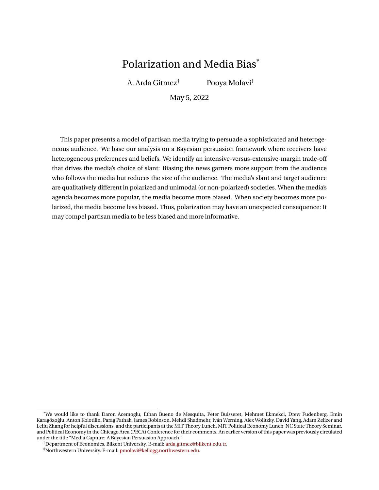# Polarization and Media Bias\*

A. Arda Gitmez† Pooya Molavi‡

May 5, 2022

This paper presents a model of partisan media trying to persuade a sophisticated and heterogeneous audience. We base our analysis on a Bayesian persuasion framework where receivers have heterogeneous preferences and beliefs. We identify an intensive-versus-extensive-margin trade-off that drives the media's choice of slant: Biasing the news garners more support from the audience who follows the media but reduces the size of the audience. The media's slant and target audience are qualitatively different in polarized and unimodal (or non-polarized) societies. When the media's agenda becomes more popular, the media become more biased. When society becomes more polarized, the media become less biased. Thus, polarization may have an unexpected consequence: It may compel partisan media to be less biased and more informative.

<sup>\*</sup>We would like to thank Daron Acemoglu, Ethan Bueno de Mesquita, Peter Buisseret, Mehmet Ekmekci, Drew Fudenberg, Emin Karagözoglu, Anton Kolotilin, Parag Pathak, James Robinson, Mehdi Shadmehr, Iván Werning, Alex Wolitzky, David Yang, Adam Zelizer and ˇ Leifu Zhang for helpful discussions, and the participants at the MIT Theory Lunch, MIT Political Economy Lunch, NC State Theory Seminar, and Political Economy in the Chicago Area (PECA) Conference for their comments. An earlier version of this paper was previously circulated under the title "Media Capture: A Bayesian Persuasion Approach."

<sup>†</sup>Department of Economics, Bilkent University. E-mail: [arda.gitmez@bilkent.edu.tr.](mailto:arda.gitmez@bilkent.edu.tr)

<sup>‡</sup>Northwestern University. E-mail: [pmolavi@kellogg.northwestern.edu.](mailto:pmolavi@kellogg.northwestern.edu)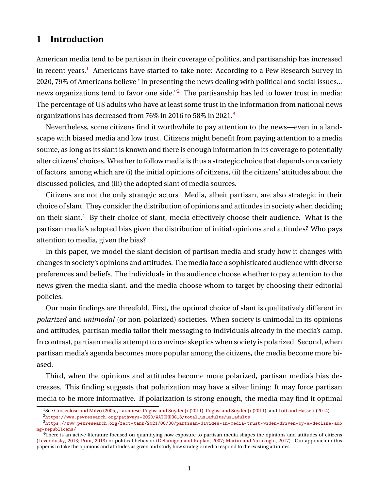# **1 Introduction**

American media tend to be partisan in their coverage of politics, and partisanship has increased in recent years.<sup>[1](#page-1-0)</sup> Americans have started to take note: According to a Pew Research Survey in 2020, 79% of Americans believe "In presenting the news dealing with political and social issues... news organizations tend to favor one side."<sup>[2](#page-1-1)</sup> The partisanship has led to lower trust in media: The percentage of US adults who have at least some trust in the information from national news organizations has decreased from 76% in 2016 to 58% in 2021.<sup>[3](#page-1-2)</sup>

Nevertheless, some citizens find it worthwhile to pay attention to the news—even in a landscape with biased media and low trust. Citizens might benefit from paying attention to a media source, as long as its slant is known and there is enough information in its coverage to potentially alter citizens' choices. Whether to follow media is thus a strategic choice that depends on a variety of factors, among which are (i) the initial opinions of citizens, (ii) the citizens' attitudes about the discussed policies, and (iii) the adopted slant of media sources.

Citizens are not the only strategic actors. Media, albeit partisan, are also strategic in their choice of slant. They consider the distribution of opinions and attitudes in society when deciding on their slant.<sup>[4](#page-1-3)</sup> By their choice of slant, media effectively choose their audience. What is the partisan media's adopted bias given the distribution of initial opinions and attitudes? Who pays attention to media, given the bias?

In this paper, we model the slant decision of partisan media and study how it changes with changes in society's opinions and attitudes. The media face a sophisticated audience with diverse preferences and beliefs. The individuals in the audience choose whether to pay attention to the news given the media slant, and the media choose whom to target by choosing their editorial policies.

Our main findings are threefold. First, the optimal choice of slant is qualitatively different in *polarized* and *unimodal* (or non-polarized) societies. When society is unimodal in its opinions and attitudes, partisan media tailor their messaging to individuals already in the media's camp. In contrast, partisan media attempt to convince skeptics when society is polarized. Second, when partisan media's agenda becomes more popular among the citizens, the media become more biased.

Third, when the opinions and attitudes become more polarized, partisan media's bias decreases. This finding suggests that polarization may have a silver lining: It may force partisan media to be more informative. If polarization is strong enough, the media may find it optimal

<span id="page-1-0"></span><sup>&</sup>lt;sup>1</sup>See [Groseclose and Milyo](#page-41-0) [\(2005\)](#page-41-0), [Larcinese, Puglisi and Snyder Jr](#page-42-0) [\(2011\)](#page-42-1), [Puglisi and Snyder Jr](#page-42-1) (2011), and [Lott and Hassett](#page-42-2) [\(2014\)](#page-42-2).

<span id="page-1-2"></span><span id="page-1-1"></span><sup>2</sup>[https://www.pewresearch.org/pathways-2020/WATCHDOG\\_3/total\\_us\\_adults/us\\_adults](https://www.pewresearch.org/pathways-2020/WATCHDOG_3/total_us_adults/us_adults)

 $3$ [https://www.pewresearch.org/fact-tank/2021/08/30/partisan-divides-in-media-trust-widen-driven-by-a-decline-amo](https://www.pewresearch.org/fact-tank/2021/08/30/partisan-divides-in-media-trust-widen-driven-by-a-decline-among-republicans/) [ng-republicans/](https://www.pewresearch.org/fact-tank/2021/08/30/partisan-divides-in-media-trust-widen-driven-by-a-decline-among-republicans/)

<span id="page-1-3"></span><sup>&</sup>lt;sup>4</sup>There is an active literature focused on quantifying how exposure to partisan media shapes the opinions and attitudes of citizens [\(Levendusky,](#page-42-3) [2013;](#page-42-3) [Prior,](#page-42-4) [2013\)](#page-42-4) or political behavior [\(DellaVigna and Kaplan,](#page-41-1) [2007;](#page-41-1) [Martin and Yurukoglu,](#page-42-5) [2017\)](#page-42-5). Our approach in this paper is to take the opinions and attitudes as given and study how strategic media respond to the existing attitudes.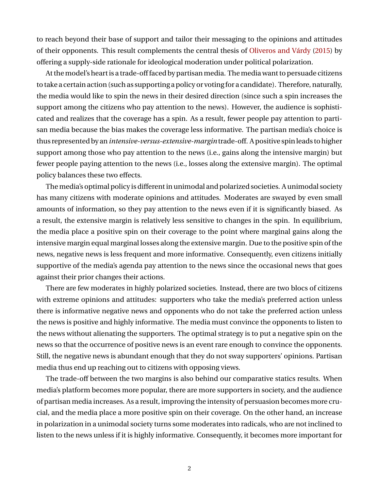to reach beyond their base of support and tailor their messaging to the opinions and attitudes of their opponents. This result complements the central thesis of [Oliveros and Várdy](#page-42-6) [\(2015\)](#page-42-6) by offering a supply-side rationale for ideological moderation under political polarization.

At themodel's heart is a trade-off faced by partisanmedia. Themedia want to persuade citizens to take a certain action (such as supporting a policy or voting for a candidate). Therefore, naturally, the media would like to spin the news in their desired direction (since such a spin increases the support among the citizens who pay attention to the news). However, the audience is sophisticated and realizes that the coverage has a spin. As a result, fewer people pay attention to partisan media because the bias makes the coverage less informative. The partisan media's choice is thus represented by an*intensive-versus-extensive-margin*trade-off. A positive spin leads to higher support among those who pay attention to the news (i.e., gains along the intensive margin) but fewer people paying attention to the news (i.e., losses along the extensive margin). The optimal policy balances these two effects.

The media's optimal policy is different in unimodal and polarized societies. A unimodal society has many citizens with moderate opinions and attitudes. Moderates are swayed by even small amounts of information, so they pay attention to the news even if it is significantly biased. As a result, the extensive margin is relatively less sensitive to changes in the spin. In equilibrium, the media place a positive spin on their coverage to the point where marginal gains along the intensive margin equal marginal losses along the extensive margin. Due to the positive spin of the news, negative news is less frequent and more informative. Consequently, even citizens initially supportive of the media's agenda pay attention to the news since the occasional news that goes against their prior changes their actions.

There are few moderates in highly polarized societies. Instead, there are two blocs of citizens with extreme opinions and attitudes: supporters who take the media's preferred action unless there is informative negative news and opponents who do not take the preferred action unless the news is positive and highly informative. The media must convince the opponents to listen to the news without alienating the supporters. The optimal strategy is to put a negative spin on the news so that the occurrence of positive news is an event rare enough to convince the opponents. Still, the negative news is abundant enough that they do not sway supporters' opinions. Partisan media thus end up reaching out to citizens with opposing views.

The trade-off between the two margins is also behind our comparative statics results. When media's platform becomes more popular, there are more supporters in society, and the audience of partisan media increases. As a result, improving the intensity of persuasion becomes more crucial, and the media place a more positive spin on their coverage. On the other hand, an increase in polarization in a unimodal society turns some moderates into radicals, who are not inclined to listen to the news unless if it is highly informative. Consequently, it becomes more important for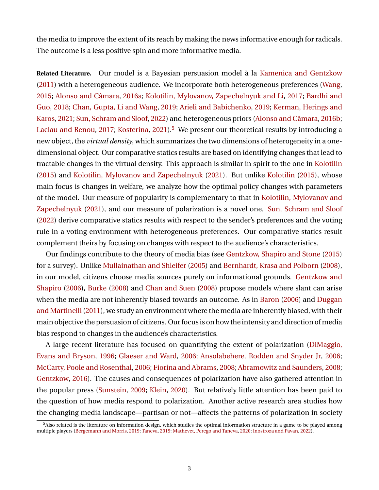the media to improve the extent of its reach by making the news informative enough for radicals. The outcome is a less positive spin and more informative media.

**Related Literature.** Our model is a Bayesian persuasion model à la [Kamenica and Gentzkow](#page-41-2) [\(2011\)](#page-41-2) with a heterogeneous audience. We incorporate both heterogeneous preferences [\(Wang,](#page-42-7) [2015;](#page-42-7) [Alonso and Câmara,](#page-40-0) [2016a;](#page-40-0) [Kolotilin, Mylovanov, Zapechelnyuk and Li,](#page-42-8) [2017;](#page-42-8) [Bardhi and](#page-40-1) [Guo,](#page-40-1) [2018;](#page-40-1) [Chan, Gupta, Li and Wang,](#page-40-2) [2019;](#page-40-2) [Arieli and Babichenko,](#page-40-3) [2019;](#page-40-3) [Kerman, Herings and](#page-41-3) [Karos,](#page-41-3) [2021;](#page-41-3) [Sun, Schram and Sloof,](#page-42-9) [2022\)](#page-42-9) and heterogeneous priors [\(Alonso and Câmara,](#page-40-4) [2016b;](#page-40-4) [Laclau and Renou,](#page-42-10) [2017;](#page-42-10) [Kosterina,](#page-42-11) [2021\)](#page-42-11).<sup>[5](#page-3-0)</sup> We present our theoretical results by introducing a new object, the *virtual density*, which summarizes the two dimensions of heterogeneity in a onedimensional object. Our comparative statics results are based on identifying changes that lead to tractable changes in the virtual density. This approach is similar in spirit to the one in [Kolotilin](#page-41-4) [\(2015\)](#page-41-4) and [Kolotilin, Mylovanov and Zapechelnyuk](#page-42-12) [\(2021\)](#page-42-12). But unlike [Kolotilin](#page-41-4) [\(2015\)](#page-41-4), whose main focus is changes in welfare, we analyze how the optimal policy changes with parameters of the model. Our measure of popularity is complementary to that in [Kolotilin, Mylovanov and](#page-42-12) [Zapechelnyuk](#page-42-12) [\(2021\)](#page-42-12), and our measure of polarization is a novel one. [Sun, Schram and Sloof](#page-42-9) [\(2022\)](#page-42-9) derive comparative statics results with respect to the sender's preferences and the voting rule in a voting environment with heterogeneous preferences. Our comparative statics result complement theirs by focusing on changes with respect to the audience's characteristics.

Our findings contribute to the theory of media bias (see [Gentzkow, Shapiro and Stone](#page-41-5) [\(2015\)](#page-41-5) for a survey). Unlike [Mullainathan and Shleifer](#page-42-13) [\(2005\)](#page-42-13) and [Bernhardt, Krasa and Polborn](#page-40-5) [\(2008\)](#page-40-5), in our model, citizens choose media sources purely on informational grounds. [Gentzkow and](#page-41-6) [Shapiro](#page-41-6) [\(2006\)](#page-41-6), [Burke](#page-40-6) [\(2008\)](#page-40-6) and [Chan and Suen](#page-40-7) [\(2008\)](#page-40-7) propose models where slant can arise when the media are not inherently biased towards an outcome. As in [Baron](#page-40-8) [\(2006\)](#page-40-8) and [Duggan](#page-41-7) and Martinelli (2011), we study an environment where the media are inherently biased, with their main objective the persuasion of citizens. Our focus is on how the intensity and direction of media bias respond to changes in the audience's characteristics.

A large recent literature has focused on quantifying the extent of polarization [\(DiMaggio,](#page-41-8) [Evans and Bryson,](#page-41-8) [1996;](#page-41-8) [Glaeser and Ward,](#page-41-9) [2006;](#page-41-9) [Ansolabehere, Rodden and Snyder Jr,](#page-40-9) [2006;](#page-40-9) [McCarty, Poole and Rosenthal,](#page-42-14) [2006;](#page-42-14) [Fiorina and Abrams,](#page-41-10) [2008;](#page-41-10) [Abramowitz and Saunders,](#page-40-10) [2008;](#page-40-10) [Gentzkow,](#page-41-11) [2016\)](#page-41-11). The causes and consequences of polarization have also gathered attention in the popular press [\(Sunstein,](#page-42-15) [2009;](#page-42-15) [Klein,](#page-41-12) [2020\)](#page-41-12). But relatively little attention has been paid to the question of how media respond to polarization. Another active research area studies how the changing media landscape—partisan or not—affects the patterns of polarization in society

<span id="page-3-0"></span> $5A$ lso related is the literature on information design, which studies the optimal information structure in a game to be played among multiple players [\(Bergemann and Morris,](#page-40-11) [2019;](#page-40-11) [Taneva,](#page-42-16) [2019;](#page-42-16) [Mathevet, Perego and Taneva,](#page-42-17) [2020;](#page-42-17) [Inostroza and Pavan,](#page-41-13) [2022\)](#page-41-13).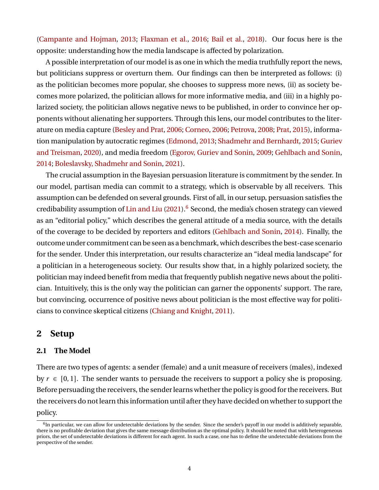[\(Campante and Hojman,](#page-40-12) [2013;](#page-40-12) [Flaxman et al.,](#page-41-14) [2016;](#page-41-14) [Bail et al.,](#page-40-13) [2018\)](#page-40-13). Our focus here is the opposite: understanding how the media landscape is affected by polarization.

A possible interpretation of our model is as one in which the media truthfully report the news, but politicians suppress or overturn them. Our findings can then be interpreted as follows: (i) as the politician becomes more popular, she chooses to suppress more news, (ii) as society becomes more polarized, the politician allows for more informative media, and (iii) in a highly polarized society, the politician allows negative news to be published, in order to convince her opponents without alienating her supporters. Through this lens, our model contributes to the literature on media capture [\(Besley and Prat,](#page-40-14) [2006;](#page-40-14) [Corneo,](#page-40-15) [2006;](#page-40-15) [Petrova,](#page-42-18) [2008;](#page-42-18) [Prat,](#page-42-19) [2015\)](#page-42-19), information manipulation by autocratic regimes [\(Edmond,](#page-41-15) [2013;](#page-41-15) [Shadmehr and Bernhardt,](#page-42-20) [2015;](#page-42-20) [Guriev](#page-41-16) [and Treisman,](#page-41-16) [2020\)](#page-41-16), and media freedom [\(Egorov, Guriev and Sonin,](#page-41-17) [2009;](#page-41-17) [Gehlbach and Sonin,](#page-41-18) [2014;](#page-41-18) [Boleslavsky, Shadmehr and Sonin,](#page-40-16) [2021\)](#page-40-16).

The crucial assumption in the Bayesian persuasion literature is commitment by the sender. In our model, partisan media can commit to a strategy, which is observable by all receivers. This assumption can be defended on several grounds. First of all, in our setup, persuasion satisfies the credibability assumption of [Lin and Liu](#page-42-21)  $(2021)$ .<sup>[6](#page-4-0)</sup> Second, the media's chosen strategy can viewed as an "editorial policy," which describes the general attitude of a media source, with the details of the coverage to be decided by reporters and editors [\(Gehlbach and Sonin,](#page-41-18) [2014\)](#page-41-18). Finally, the outcome under commitment can be seen as a benchmark, which describes the best-case scenario for the sender. Under this interpretation, our results characterize an "ideal media landscape" for a politician in a heterogeneous society. Our results show that, in a highly polarized society, the politician may indeed benefit from media that frequently publish negative news about the politician. Intuitively, this is the only way the politician can garner the opponents' support. The rare, but convincing, occurrence of positive news about politician is the most effective way for politicians to convince skeptical citizens [\(Chiang and Knight,](#page-40-17) [2011\)](#page-40-17).

## <span id="page-4-1"></span>**2 Setup**

#### **2.1 The Model**

There are two types of agents: a sender (female) and a unit measure of receivers (males), indexed by  $r \in [0, 1]$ . The sender wants to persuade the receivers to support a policy she is proposing. Before persuading the receivers, the sender learns whether the policy is good for the receivers. But the receivers do not learn this information until after they have decided on whether to support the policy.

<span id="page-4-0"></span><sup>&</sup>lt;sup>6</sup>In particular, we can allow for undetectable deviations by the sender. Since the sender's payoff in our model is additively separable, there is no profitable deviation that gives the same message distribution as the optimal policy. It should be noted that with heterogeneous priors, the set of undetectable deviations is different for each agent. In such a case, one has to define the undetectable deviations from the perspective of the sender.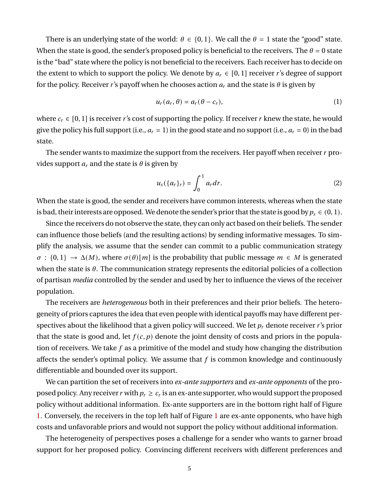There is an underlying state of the world:  $\theta \in \{0, 1\}$ . We call the  $\theta = 1$  state the "good" state. When the state is good, the sender's proposed policy is beneficial to the receivers. The  $\theta = 0$  state is the "bad" state where the policy is not beneficial to the receivers. Each receiver has to decide on the extent to which to support the policy. We denote by  $a_r \in [0,1]$  receiver r's degree of support for the policy. Receiver r's payoff when he chooses action  $a_r$  and the state is  $\theta$  is given by

$$
u_r(a_r, \theta) = a_r(\theta - c_r), \tag{1}
$$

where  $c_r \in [0, 1]$  is receiver r's cost of supporting the policy. If receiver r knew the state, he would give the policy his full support (i.e.,  $a_r = 1$ ) in the good state and no support (i.e.,  $a_r = 0$ ) in the bad state.

The sender wants to maximize the support from the receivers. Her payoff when receiver  $r$  provides support  $a_r$  and the state is  $\theta$  is given by

$$
u_s({a_r}_r) = \int_0^1 a_r dr.
$$
 (2)

When the state is good, the sender and receivers have common interests, whereas when the state is bad, their interests are opposed. We denote the sender's prior that the state is good by  $p_s \in (0, 1)$ .

Since the receivers do not observe the state, they can only act based on their beliefs. The sender can influence those beliefs (and the resulting actions) by sending informative messages. To simplify the analysis, we assume that the sender can commit to a public communication strategy  $\sigma : \{0,1\} \to \Delta(M)$ , where  $\sigma(\theta)[m]$  is the probability that public message  $m \in M$  is generated when the state is  $\theta$ . The communication strategy represents the editorial policies of a collection of partisan *media* controlled by the sender and used by her to influence the views of the receiver population.

The receivers are *heterogeneous* both in their preferences and their prior beliefs. The heterogeneity of priors captures the idea that even people with identical payoffs may have different perspectives about the likelihood that a given policy will succeed. We let  $p_r$  denote receiver r's prior that the state is good and, let  $f(c, p)$  denote the joint density of costs and priors in the population of receivers. We take  $f$  as a primitive of the model and study how changing the distribution affects the sender's optimal policy. We assume that  $f$  is common knowledge and continuously differentiable and bounded over its support.

We can partition the set of receivers into *ex-ante supporters* and *ex-ante opponents* of the proposed policy. Any receiver  $r$  with  $p_r \geq c_r$  is an ex-ante supporter, who would support the proposed policy without additional information. Ex-ante supporters are in the bottom right half of Figure [1.](#page-6-0) Conversely, the receivers in the top left half of Figure [1](#page-6-0) are ex-ante opponents, who have high costs and unfavorable priors and would not support the policy without additional information.

The heterogeneity of perspectives poses a challenge for a sender who wants to garner broad support for her proposed policy. Convincing different receivers with different preferences and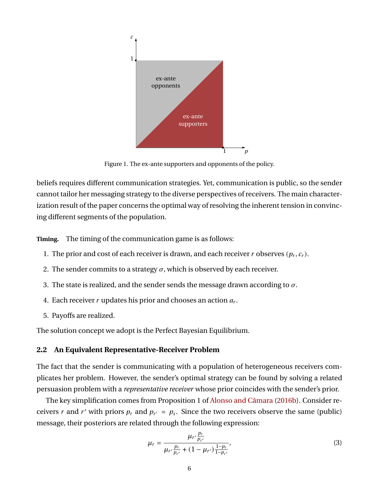<span id="page-6-0"></span>

Figure 1. The ex-ante supporters and opponents of the policy.

beliefs requires different communication strategies. Yet, communication is public, so the sender cannot tailor her messaging strategy to the diverse perspectives of receivers. The main characterization result of the paper concerns the optimal way of resolving the inherent tension in convincing different segments of the population.

**Timing.** The timing of the communication game is as follows:

- 1. The prior and cost of each receiver is drawn, and each receiver  $r$  observes  $(p_r, c_r)$ .
- 2. The sender commits to a strategy  $\sigma$ , which is observed by each receiver.
- 3. The state is realized, and the sender sends the message drawn according to  $\sigma$ .
- 4. Each receiver  $r$  updates his prior and chooses an action  $a_r$ .
- 5. Payoffs are realized.

The solution concept we adopt is the Perfect Bayesian Equilibrium.

#### **2.2 An Equivalent Representative-Receiver Problem**

The fact that the sender is communicating with a population of heterogeneous receivers complicates her problem. However, the sender's optimal strategy can be found by solving a related persuasion problem with a *representative receiver* whose prior coincides with the sender's prior.

The key simplification comes from Proposition 1 of [Alonso and Câmara](#page-40-4) [\(2016b\)](#page-40-4). Consider receivers r and r' with priors  $p_r$  and  $p_{r'} = p_s$ . Since the two receivers observe the same (public) message, their posteriors are related through the following expression:

$$
\mu_r = \frac{\mu_{r'} \frac{p_r}{p_{r'}}}{\mu_{r'} \frac{p_r}{p_{r'}} + (1 - \mu_{r'}) \frac{1 - p_r}{1 - p_{r'}}},\tag{3}
$$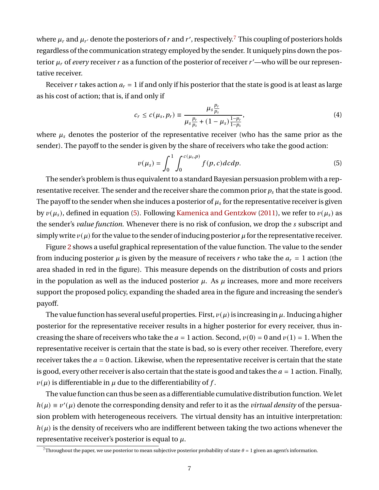where  $\mu_r$  and  $\mu_{r'}$  denote the posteriors of  $r$  and  $r'$ , respectively. $^7$  $^7$  This coupling of posteriors holds regardless of the communication strategy employed by the sender. It uniquely pins down the posterior  $\mu_r$  of *every* receiver r as a function of the posterior of receiver  $r'$ —who will be our representative receiver.

Receiver r takes action  $a_r = 1$  if and only if his posterior that the state is good is at least as large as his cost of action; that is, if and only if

$$
c_r \le c(\mu_s, p_r) \equiv \frac{\mu_s \frac{p_r}{p_s}}{\mu_s \frac{p_r}{p_s} + (1 - \mu_s) \frac{1 - p_r}{1 - p_s}},\tag{4}
$$

where  $\mu_s$  denotes the posterior of the representative receiver (who has the same prior as the sender). The payoff to the sender is given by the share of receivers who take the good action:

<span id="page-7-1"></span>
$$
v(\mu_s) = \int_0^1 \int_0^{c(\mu_s, p)} f(p, c) dc dp.
$$
 (5)

The sender's problem is thus equivalent to a standard Bayesian persuasion problem with a representative receiver. The sender and the receiver share the common prior  $p_s$  that the state is good. The payoff to the sender when she induces a posterior of  $\mu_s$  for the representative receiver is given by  $v(\mu_s)$ , defined in equation [\(5\)](#page-7-1). Following [Kamenica and Gentzkow](#page-41-2) [\(2011\)](#page-41-2), we refer to  $v(\mu_s)$  as the sender's *value function*. Whenever there is no risk of confusion, we drop the *s* subscript and simply write  $v(\mu)$  for the value to the sender of inducing posterior  $\mu$  for the representative receiver.

Figure [2](#page-8-0) shows a useful graphical representation of the value function. The value to the sender from inducing posterior  $\mu$  is given by the measure of receivers r who take the  $a_r = 1$  action (the area shaded in red in the figure). This measure depends on the distribution of costs and priors in the population as well as the induced posterior  $\mu$ . As  $\mu$  increases, more and more receivers support the proposed policy, expanding the shaded area in the figure and increasing the sender's payoff.

The value function has several useful properties. First,  $v(\mu)$  is increasing in  $\mu$ . Inducing a higher posterior for the representative receiver results in a higher posterior for every receiver, thus increasing the share of receivers who take the  $a = 1$  action. Second,  $v(0) = 0$  and  $v(1) = 1$ . When the representative receiver is certain that the state is bad, so is every other receiver. Therefore, every receiver takes the  $a = 0$  action. Likewise, when the representative receiver is certain that the state is good, every other receiver is also certain that the state is good and takes the  $a = 1$  action. Finally,  $v(\mu)$  is differentiable in  $\mu$  due to the differentiability of f.

The value function can thus be seen as a differentiable cumulative distribution function. We let  $h(\mu) \equiv v'(\mu)$  denote the corresponding density and refer to it as the *virtual density* of the persuasion problem with heterogeneous receivers. The virtual density has an intuitive interpretation:  $h(\mu)$  is the density of receivers who are indifferent between taking the two actions whenever the representative receiver's posterior is equal to  $\mu$ .

<span id="page-7-0"></span><sup>&</sup>lt;sup>7</sup>Throughout the paper, we use posterior to mean subjective posterior probability of state  $\theta = 1$  given an agent's information.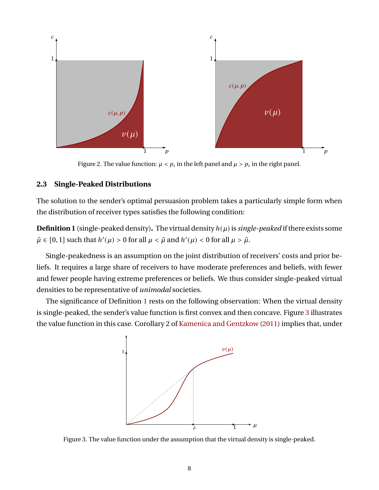<span id="page-8-0"></span>

Figure 2. The value function:  $\mu < p_s$  in the left panel and  $\mu > p_s$  in the right panel.

#### **2.3 Single-Peaked Distributions**

The solution to the sender's optimal persuasion problem takes a particularly simple form when the distribution of receiver types satisfies the following condition:

<span id="page-8-1"></span>**Definition 1** (single-peaked density). The virtual density  $h(\mu)$  is *single-peaked* if there exists some  $\tilde{\mu} \in [0, 1]$  such that  $h'(\mu) > 0$  for all  $\mu < \tilde{\mu}$  and  $h'(\mu) < 0$  for all  $\mu > \tilde{\mu}$ .

Single-peakedness is an assumption on the joint distribution of receivers' costs and prior beliefs. It requires a large share of receivers to have moderate preferences and beliefs, with fewer and fewer people having extreme preferences or beliefs. We thus consider single-peaked virtual densities to be representative of *unimodal* societies.

<span id="page-8-2"></span>The significance of Definition [1](#page-8-1) rests on the following observation: When the virtual density is single-peaked, the sender's value function is first convex and then concave. Figure [3](#page-8-2) illustrates the value function in this case. Corollary 2 of [Kamenica and Gentzkow](#page-41-2) [\(2011\)](#page-41-2) implies that, under



Figure 3. The value function under the assumption that the virtual density is single-peaked.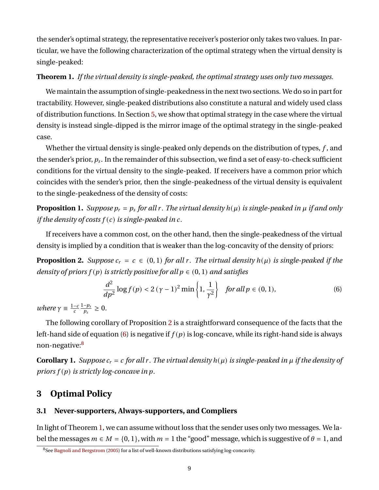the sender's optimal strategy, the representative receiver's posterior only takes two values. In particular, we have the following characterization of the optimal strategy when the virtual density is single-peaked:

#### <span id="page-9-3"></span>**Theorem 1.** *If the virtual density is single-peaked, the optimal strategy uses only two messages.*

We maintain the assumption of single-peakedness in the next two sections. We do so in part for tractability. However, single-peaked distributions also constitute a natural and widely used class of distribution functions. In Section [5,](#page-17-0) we show that optimal strategy in the case where the virtual density is instead single-dipped is the mirror image of the optimal strategy in the single-peaked case.

Whether the virtual density is single-peaked only depends on the distribution of types,  $f$ , and the sender's prior,  $p_s$ . In the remainder of this subsection, we find a set of easy-to-check sufficient conditions for the virtual density to the single-peaked. If receivers have a common prior which coincides with the sender's prior, then the single-peakedness of the virtual density is equivalent to the single-peakedness of the density of costs:

<span id="page-9-4"></span>**Proposition 1.** *Suppose*  $p_r = p_s$  for all r. The virtual density  $h(\mu)$  is single-peaked in  $\mu$  if and only *if the density of costs*  $f(c)$  *is single-peaked in c.* 

If receivers have a common cost, on the other hand, then the single-peakedness of the virtual density is implied by a condition that is weaker than the log-concavity of the density of priors:

<span id="page-9-0"></span>**Proposition 2.** *Suppose*  $c_r = c \in (0, 1)$  *for all r. The virtual density*  $h(\mu)$  *is single-peaked if the density of priors*  $f(p)$  *is strictly positive for all*  $p \in (0, 1)$  *and satisfies* 

<span id="page-9-1"></span>
$$
\frac{d^2}{dp^2}\log f(p) < 2\left(\gamma - 1\right)^2 \min\left\{1, \frac{1}{\gamma^2}\right\} \quad \text{for all } p \in (0, 1),\tag{6}
$$

*where*  $\gamma \equiv \frac{1-c}{c} \frac{1-p_s}{p_s}$  $\frac{-p_s}{p_s} \geq 0.$ 

The following corollary of Proposition [2](#page-9-0) is a straightforward consequence of the facts that the left-hand side of equation [\(6\)](#page-9-1) is negative if  $f(p)$  is log-concave, while its right-hand side is always non-negative:[8](#page-9-2)

**Corollary 1.** *Suppose*  $c_r = c$  *for all r. The virtual density*  $h(\mu)$  *is single-peaked in*  $\mu$  *if the density of priors*  $f(p)$  *is strictly log-concave in p.* 

# <span id="page-9-5"></span>**3 Optimal Policy**

#### **3.1 Never-supporters, Always-supporters, and Compliers**

In light of Theorem [1,](#page-9-3) we can assume without loss that the sender uses only two messages. We label the messages  $m \in M = \{0, 1\}$ , with  $m = 1$  the "good" message, which is suggestive of  $\theta = 1$ , and

<span id="page-9-2"></span><sup>&</sup>lt;sup>8</sup>See [Bagnoli and Bergstrom](#page-40-18) [\(2005\)](#page-40-18) for a list of well-known distributions satisfying log-concavity.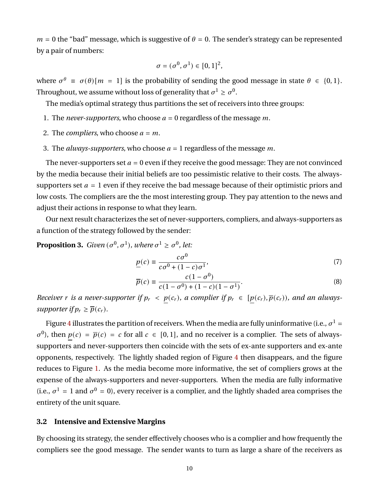$m = 0$  the "bad" message, which is suggestive of  $\theta = 0$ . The sender's strategy can be represented by a pair of numbers:

$$
\sigma=(\sigma^0,\sigma^1)\in[0,1]^2,
$$

where  $\sigma^{\theta} \equiv \sigma(\theta)[m = 1]$  is the probability of sending the good message in state  $\theta \in \{0, 1\}$ . Throughout, we assume without loss of generality that  $\sigma^1 \geq \sigma^0.$ 

The media's optimal strategy thus partitions the set of receivers into three groups:

- 1. The *never-supporters*, who choose  $a = 0$  regardless of the message m.
- 2. The *compliers*, who choose  $a = m$ .
- 3. The *always-supporters*, who choose  $a = 1$  regardless of the message m.

The never-supporters set  $a = 0$  even if they receive the good message: They are not convinced by the media because their initial beliefs are too pessimistic relative to their costs. The alwayssupporters set  $a = 1$  even if they receive the bad message because of their optimistic priors and low costs. The compliers are the the most interesting group. They pay attention to the news and adjust their actions in response to what they learn.

Our next result characterizes the set of never-supporters, compliers, and always-supporters as a function of the strategy followed by the sender:

<span id="page-10-2"></span>**Proposition 3.** *Given*  $(\sigma^0, \sigma^1)$ *, where*  $\sigma^1 \geq \sigma^0$ *, let:* 

<span id="page-10-0"></span>
$$
\underline{p}(c) \equiv \frac{c\sigma^0}{c\sigma^0 + (1-c)\sigma^1},\tag{7}
$$

<span id="page-10-1"></span>
$$
\overline{p}(c) \equiv \frac{c(1 - \sigma^0)}{c(1 - \sigma^0) + (1 - c)(1 - \sigma^1)}.
$$
\n(8)

*Receiver r* is a never-supporter if  $p_r < p(c_r)$ , a complier if  $p_r \in [p(c_r), \overline{p}(c_r))$ , and an always*supporter if*  $p_r \geq \overline{p}(c_r)$ .

Figure [4](#page-11-0) illustrates the partition of receivers. When the media are fully uninformative (i.e.,  $\sigma^1$  =  $\sigma^{0}$ ), then  $p(c) = \overline{p}(c) = c$  for all  $c \in [0, 1]$ , and no receiver is a complier. The sets of alwayssupporters and never-supporters then coincide with the sets of ex-ante supporters and ex-ante opponents, respectively. The lightly shaded region of Figure [4](#page-11-0) then disappears, and the figure reduces to Figure [1.](#page-6-0) As the media become more informative, the set of compliers grows at the expense of the always-supporters and never-supporters. When the media are fully informative (i.e.,  $\sigma^1 = 1$  and  $\sigma^0 = 0$ ), every receiver is a complier, and the lightly shaded area comprises the entirety of the unit square.

#### **3.2 Intensive and Extensive Margins**

By choosing its strategy, the sender effectively chooses who is a complier and how frequently the compliers see the good message. The sender wants to turn as large a share of the receivers as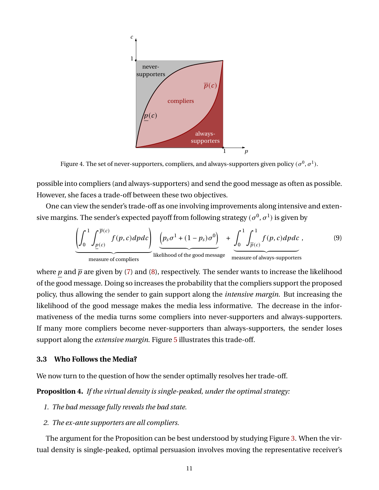<span id="page-11-0"></span>

Figure 4. The set of never-supporters, compliers, and always-supporters given policy  $(\sigma^0, \sigma^1)$ .

possible into compliers (and always-supporters) and send the good message as often as possible. However, she faces a trade-off between these two objectives.

One can view the sender's trade-off as one involving improvements along intensive and extensive margins. The sender's expected payoff from following strategy  $(\sigma^0,\sigma^1)$  is given by

$$
\underbrace{\left(\int_{0}^{1} \int_{\underline{p}(c)}^{\overline{p}(c)} f(p, c) dp dc\right)}_{\text{measure of compilers}} \underbrace{\left(p_s \sigma^1 + (1 - p_s) \sigma^0\right)}_{\text{likelihood of the good message}} + \underbrace{\int_{0}^{1} \int_{\overline{p}(c)}^{1} f(p, c) dp dc}_{\text{measure of always-supports}},
$$
\n(9)

where  $p$  and  $\bar{p}$  are given by [\(7\)](#page-10-0) and [\(8\)](#page-10-1), respectively. The sender wants to increase the likelihood of the good message. Doing so increases the probability that the compliers support the proposed policy, thus allowing the sender to gain support along the *intensive margin*. But increasing the likelihood of the good message makes the media less informative. The decrease in the informativeness of the media turns some compliers into never-supporters and always-supporters. If many more compliers become never-supporters than always-supporters, the sender loses support along the *extensive margin*. Figure [5](#page-12-0) illustrates this trade-off.

#### **3.3 Who Follows the Media?**

We now turn to the question of how the sender optimally resolves her trade-off.

<span id="page-11-1"></span>**Proposition 4.** *If the virtual density is single-peaked, under the optimal strategy:*

- *1. The bad message fully reveals the bad state.*
- *2. The ex-ante supporters are all compliers.*

The argument for the Proposition can be best understood by studying Figure [3.](#page-8-2) When the virtual density is single-peaked, optimal persuasion involves moving the representative receiver's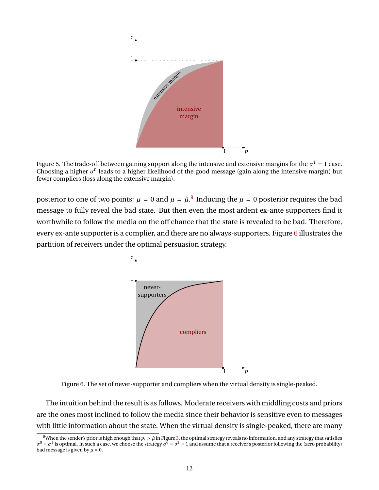<span id="page-12-0"></span>

Figure 5. The trade-off between gaining support along the intensive and extensive margins for the  $\sigma^1$  = 1 case. Choosing a higher  $\sigma^0$  leads to a higher likelihood of the good message (gain along the intensive margin) but fewer compliers (loss along the extensive margin).

<span id="page-12-2"></span>posterior to one of two points:  $\mu = 0$  and  $\mu = \hat{\mu}$ .<sup>[9](#page-12-1)</sup> Inducing the  $\mu = 0$  posterior requires the bad message to fully reveal the bad state. But then even the most ardent ex-ante supporters find it worthwhile to follow the media on the off chance that the state is revealed to be bad. Therefore, every ex-ante supporter is a complier, and there are no always-supporters. Figure [6](#page-12-2) illustrates the partition of receivers under the optimal persuasion strategy.



Figure 6. The set of never-supporter and compliers when the virtual density is single-peaked.

The intuition behind the result is as follows. Moderate receivers with middling costs and priors are the ones most inclined to follow the media since their behavior is sensitive even to messages with little information about the state. When the virtual density is single-peaked, there are many

<span id="page-12-1"></span><sup>&</sup>lt;sup>9</sup>When the sender's prior is high enough that  $p_s > \hat{\mu}$  in Figure [3,](#page-8-2) the optimal strategy reveals no information, and any strategy that satisfies  $\sigma^0 = \sigma^1$  is optimal. In such a case, we choose the strategy  $\sigma^0 = \sigma^1$ bad message is given by  $\mu = 0$ .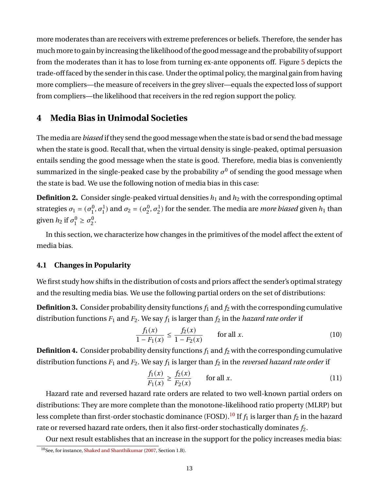more moderates than are receivers with extreme preferences or beliefs. Therefore, the sender has much more to gain by increasing the likelihood of the good message and the probability of support from the moderates than it has to lose from turning ex-ante opponents off. Figure [5](#page-12-0) depicts the trade-off faced by the sender in this case. Under the optimal policy, the marginal gain from having more compliers—the measure of receivers in the grey sliver—equals the expected loss of support from compliers—the likelihood that receivers in the red region support the policy.

# <span id="page-13-2"></span>**4 Media Bias in Unimodal Societies**

The media are *biased* if they send the good message when the state is bad or send the bad message when the state is good. Recall that, when the virtual density is single-peaked, optimal persuasion entails sending the good message when the state is good. Therefore, media bias is conveniently summarized in the single-peaked case by the probability  $\sigma^0$  of sending the good message when the state is bad. We use the following notion of media bias in this case:

**Definition 2.** Consider single-peaked virtual densities  $h_1$  and  $h_2$  with the corresponding optimal strategies  $\sigma_1 = (\sigma_1^0)$  $(\sigma_1^0, \sigma_1^1)$  and  $\sigma_2 = (\sigma_2^0)$  $\{22, \sigma_2^1\}$  for the sender. The media are *more biased* given  $h_1$  than given  $h_2$  if  $\sigma_1^0$  $\sigma_1^0 \ge \sigma_2^0$  $\frac{0}{2}$ 

In this section, we characterize how changes in the primitives of the model affect the extent of media bias.

## <span id="page-13-1"></span>**4.1 Changes in Popularity**

We first study how shifts in the distribution of costs and priors affect the sender's optimal strategy and the resulting media bias. We use the following partial orders on the set of distributions:

**Definition 3.** Consider probability density functions  $f_1$  and  $f_2$  with the corresponding cumulative distribution functions  $F_1$  and  $F_2$ . We say  $f_1$  is larger than  $f_2$  in the *hazard rate order* if

$$
\frac{f_1(x)}{1 - F_1(x)} \le \frac{f_2(x)}{1 - F_2(x)} \qquad \text{for all } x.
$$
 (10)

**Definition 4.** Consider probability density functions  $f_1$  and  $f_2$  with the corresponding cumulative distribution functions  $F_1$  and  $F_2$ . We say  $f_1$  is larger than  $f_2$  in the *reversed hazard rate order* if

$$
\frac{f_1(x)}{F_1(x)} \ge \frac{f_2(x)}{F_2(x)} \qquad \text{for all } x. \tag{11}
$$

Hazard rate and reversed hazard rate orders are related to two well-known partial orders on distributions: They are more complete than the monotone-likelihood ratio property (MLRP) but less complete than first-order stochastic dominance (FOSD).<sup>[10](#page-13-0)</sup> If  $f_1$  is larger than  $f_2$  in the hazard rate or reversed hazard rate orders, then it also first-order stochastically dominates  $f_2$ .

Our next result establishes that an increase in the support for the policy increases media bias:

<span id="page-13-0"></span><sup>10</sup>See, for instance, [Shaked and Shanthikumar](#page-42-22) [\(2007,](#page-42-22) Section 1.B).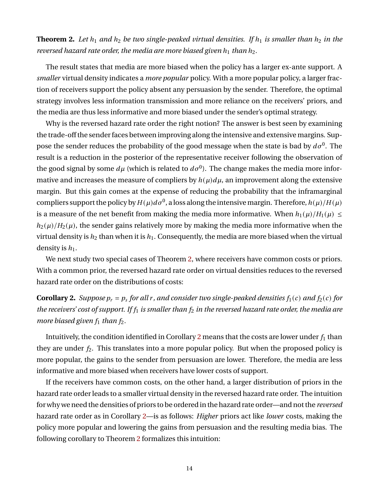<span id="page-14-0"></span>**Theorem 2.** Let  $h_1$  and  $h_2$  be two single-peaked virtual densities. If  $h_1$  is smaller than  $h_2$  in the *reversed hazard rate order, the media are more biased given*  $h_1$  *than*  $h_2$ *.* 

The result states that media are more biased when the policy has a larger ex-ante support. A *smaller* virtual density indicates a *more popular* policy. With a more popular policy, a larger fraction of receivers support the policy absent any persuasion by the sender. Therefore, the optimal strategy involves less information transmission and more reliance on the receivers' priors, and the media are thus less informative and more biased under the sender's optimal strategy.

Why is the reversed hazard rate order the right notion? The answer is best seen by examining the trade-off the sender faces between improving along the intensive and extensive margins. Suppose the sender reduces the probability of the good message when the state is bad by  $d\sigma^0$ . The result is a reduction in the posterior of the representative receiver following the observation of the good signal by some  $d\mu$  (which is related to  $d\sigma^0$ ). The change makes the media more informative and increases the measure of compliers by  $h(\mu)d\mu$ , an improvement along the extensive margin. But this gain comes at the expense of reducing the probability that the inframarginal compliers support the policy by  $H(\mu)d\sigma^0$ , a loss along the intensive margin. Therefore,  $h(\mu)/H(\mu)$ is a measure of the net benefit from making the media more informative. When  $h_1(\mu)/H_1(\mu) \leq$  $h_2(\mu)/H_2(\mu)$ , the sender gains relatively more by making the media more informative when the virtual density is  $h_2$  than when it is  $h_1$ . Consequently, the media are more biased when the virtual density is  $h_1$ .

We next study two special cases of Theorem [2,](#page-14-0) where receivers have common costs or priors. With a common prior, the reversed hazard rate order on virtual densities reduces to the reversed hazard rate order on the distributions of costs:

<span id="page-14-1"></span>**Corollary 2.** *Suppose*  $p_r = p_s$  for all r, and consider two single-peaked densities  $f_1(c)$  and  $f_2(c)$  for *the receivers' cost of support. If*  $f_1$  *is smaller than*  $f_2$  *in the reversed hazard rate order, the media are more biased given*  $f_1$  *than*  $f_2$ *.* 

Intuitively, the condition identified in Corollary [2](#page-14-1) means that the costs are lower under  $f_1$  than they are under  $f_2$ . This translates into a more popular policy. But when the proposed policy is more popular, the gains to the sender from persuasion are lower. Therefore, the media are less informative and more biased when receivers have lower costs of support.

If the receivers have common costs, on the other hand, a larger distribution of priors in the hazard rate order leads to a smaller virtual density in the reversed hazard rate order. The intuition for why we need the densities of priors to be ordered in the hazard rate order—and not the *reversed* hazard rate order as in Corollary [2—](#page-14-1)is as follows: *Higher* priors act like *lower* costs, making the policy more popular and lowering the gains from persuasion and the resulting media bias. The following corollary to Theorem [2](#page-14-0) formalizes this intuition: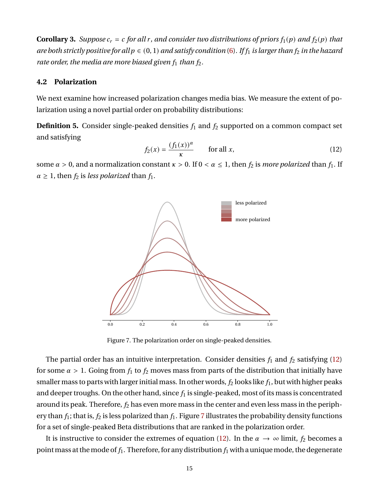<span id="page-15-3"></span>**Corollary 3.** Suppose  $c_r = c$  for all r, and consider two distributions of priors  $f_1(p)$  and  $f_2(p)$  that *are both strictly positive for all*  $p \in (0, 1)$  *and satisfy condition* [\(6\)](#page-9-1). If  $f_1$  *is larger than*  $f_2$  *in the hazard rate order, the media are more biased given*  $f_1$  *than*  $f_2$ *.* 

#### <span id="page-15-2"></span>**4.2 Polarization**

We next examine how increased polarization changes media bias. We measure the extent of polarization using a novel partial order on probability distributions:

**Definition 5.** Consider single-peaked densities  $f_1$  and  $f_2$  supported on a common compact set and satisfying

<span id="page-15-0"></span>
$$
f_2(x) = \frac{(f_1(x))^{\alpha}}{\kappa} \qquad \text{for all } x,
$$
 (12)

<span id="page-15-1"></span>some  $\alpha > 0$ , and a normalization constant  $\kappa > 0$ . If  $0 < \alpha \leq 1$ , then  $f_2$  is *more polarized* than  $f_1$ . If  $\alpha \geq 1$ , then  $f_2$  is *less polarized* than  $f_1$ .



Figure 7. The polarization order on single-peaked densities.

The partial order has an intuitive interpretation. Consider densities  $f_1$  and  $f_2$  satisfying [\(12\)](#page-15-0) for some  $\alpha > 1$ . Going from  $f_1$  to  $f_2$  moves mass from parts of the distribution that initially have smaller mass to parts with larger initial mass. In other words,  $f_2$  looks like  $f_1$ , but with higher peaks and deeper troughs. On the other hand, since  $f_1$  is single-peaked, most of its mass is concentrated around its peak. Therefore,  $f_2$  has even more mass in the center and even less mass in the periphery than  $f_1$ ; that is,  $f_2$  is less polarized than  $f_1$ . Figure [7](#page-15-1) illustrates the probability density functions for a set of single-peaked Beta distributions that are ranked in the polarization order.

It is instructive to consider the extremes of equation [\(12\)](#page-15-0). In the  $\alpha \to \infty$  limit,  $f_2$  becomes a point mass at the mode of  $f_1$ . Therefore, for any distribution  $f_1$  with a unique mode, the degenerate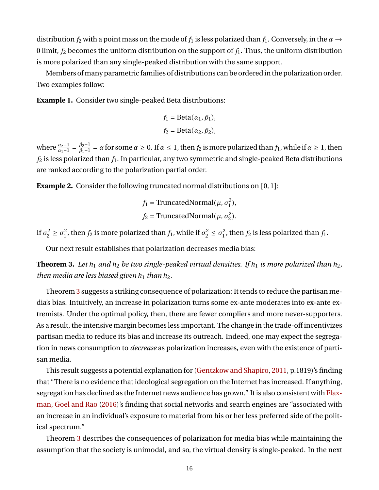distribution  $f_2$  with a point mass on the mode of  $f_1$  is less polarized than  $f_1$ . Conversely, in the  $\alpha \rightarrow$ 0 limit,  $f_2$  becomes the uniform distribution on the support of  $f_1$ . Thus, the uniform distribution is more polarized than any single-peaked distribution with the same support.

Members ofmany parametric families of distributions can be ordered in the polarization order. Two examples follow:

**Example 1.** Consider two single-peaked Beta distributions:

$$
f_1 = \text{Beta}(\alpha_1, \beta_1),
$$
  

$$
f_2 = \text{Beta}(\alpha_2, \beta_2),
$$

where  $\frac{\alpha_2-1}{\alpha_1-1} = \frac{\beta_2-1}{\beta_1-1}$  $\frac{\beta_2-1}{\beta_1-1}=\alpha$  for some  $\alpha\geq 0.$  If  $\alpha\leq 1$ , then  $f_2$  is more polarized than  $f_1$ , while if  $\alpha\geq 1$ , then  $f_2$  is less polarized than  $f_1$ . In particular, any two symmetric and single-peaked Beta distributions are ranked according to the polarization partial order.

**Example 2.** Consider the following truncated normal distributions on [0, 1]:

$$
f_1
$$
 = TruncatedNormal( $\mu$ ,  $\sigma_1^2$ ),  
 $f_2$  = TruncatedNormal( $\mu$ ,  $\sigma_2^2$ ).

If  $\sigma_2^2$  $c_2^2 \geq \sigma_1^2$  $\frac{1}{2}$ , then  $f_2$  is more polarized than  $f_1$ , while if  $\sigma_2^2$  $2^2 \leq \sigma_1^2$  $_1^2$ , then  $f_2$  is less polarized than  $f_1$ .

Our next result establishes that polarization decreases media bias:

<span id="page-16-0"></span>**Theorem 3.** Let  $h_1$  and  $h_2$  be two single-peaked virtual densities. If  $h_1$  is more polarized than  $h_2$ , *then media are less biased given*  $h_1$  *than*  $h_2$ *.* 

Theorem [3](#page-16-0) suggests a striking consequence of polarization: It tends to reduce the partisan media's bias. Intuitively, an increase in polarization turns some ex-ante moderates into ex-ante extremists. Under the optimal policy, then, there are fewer compliers and more never-supporters. As a result, the intensive margin becomes less important. The change in the trade-off incentivizes partisan media to reduce its bias and increase its outreach. Indeed, one may expect the segregation in news consumption to *decrease* as polarization increases, even with the existence of partisan media.

This result suggests a potential explanation for [\(Gentzkow and Shapiro,](#page-41-19) [2011,](#page-41-19) p.1819)'s finding that "There is no evidence that ideological segregation on the Internet has increased. If anything, segregation has declined as the Internet news audience has grown." It is also consistent with [Flax](#page-41-14)[man, Goel and Rao](#page-41-14) [\(2016\)](#page-41-14)'s finding that social networks and search engines are "associated with an increase in an individual's exposure to material from his or her less preferred side of the political spectrum."

Theorem [3](#page-16-0) describes the consequences of polarization for media bias while maintaining the assumption that the society is unimodal, and so, the virtual density is single-peaked. In the next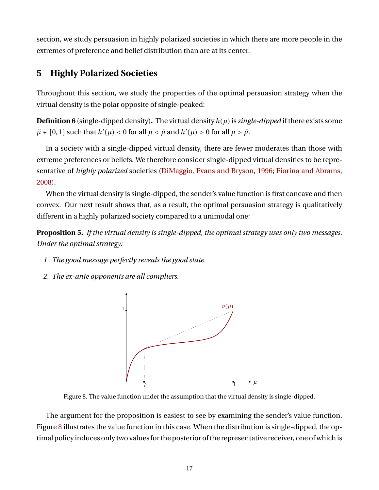section, we study persuasion in highly polarized societies in which there are more people in the extremes of preference and belief distribution than are at its center.

# <span id="page-17-0"></span>**5 Highly Polarized Societies**

Throughout this section, we study the properties of the optimal persuasion strategy when the virtual density is the polar opposite of single-peaked:

**Definition 6** (single-dipped density). The virtual density  $h(\mu)$  is *single-dipped* if there exists some  $\tilde{\mu} \in [0, 1]$  such that  $h'(\mu) < 0$  for all  $\mu < \tilde{\mu}$  and  $h'(\mu) > 0$  for all  $\mu > \tilde{\mu}$ .

In a society with a single-dipped virtual density, there are fewer moderates than those with extreme preferences or beliefs. We therefore consider single-dipped virtual densities to be representative of *highly polarized* societies [\(DiMaggio, Evans and Bryson,](#page-41-8) [1996;](#page-41-8) [Fiorina and Abrams,](#page-41-10) [2008\)](#page-41-10).

When the virtual density is single-dipped, the sender's value function is first concave and then convex. Our next result shows that, as a result, the optimal persuasion strategy is qualitatively different in a highly polarized society compared to a unimodal one:

<span id="page-17-2"></span>**Proposition 5.** *If the virtual density is single-dipped, the optimal strategy uses only two messages. Under the optimal strategy:*

- *1. The good message perfectly reveals the good state.*
- <span id="page-17-1"></span>*2. The ex-ante opponents are all compliers.*



Figure 8. The value function under the assumption that the virtual density is single-dipped.

The argument for the proposition is easiest to see by examining the sender's value function. Figure [8](#page-17-1) illustrates the value function in this case. When the distribution is single-dipped, the optimal policy induces only two values for the posterior of the representative receiver, one of which is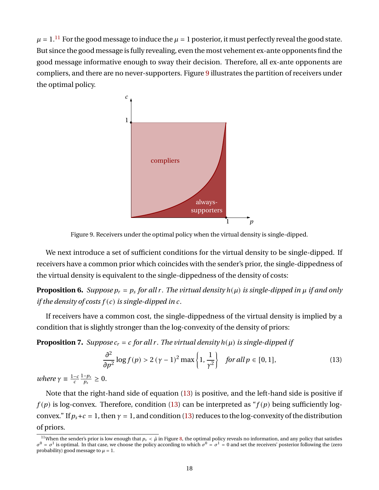<span id="page-18-1"></span> $\mu = 1$ .<sup>[11](#page-18-0)</sup> For the good message to induce the  $\mu = 1$  posterior, it must perfectly reveal the good state. But since the good message is fully revealing, even the most vehement ex-ante opponents find the good message informative enough to sway their decision. Therefore, all ex-ante opponents are compliers, and there are no never-supporters. Figure [9](#page-18-1) illustrates the partition of receivers under the optimal policy.



Figure 9. Receivers under the optimal policy when the virtual density is single-dipped.

We next introduce a set of sufficient conditions for the virtual density to be single-dipped. If receivers have a common prior which coincides with the sender's prior, the single-dippedness of the virtual density is equivalent to the single-dippedness of the density of costs:

<span id="page-18-3"></span>**Proposition 6.** Suppose  $p_r = p_s$  for all r. The virtual density  $h(\mu)$  is single-dipped in  $\mu$  if and only *if the density of costs*  $f(c)$  *is single-dipped in c.* 

If receivers have a common cost, the single-dippedness of the virtual density is implied by a condition that is slightly stronger than the log-convexity of the density of priors:

<span id="page-18-4"></span>**Proposition 7.** *Suppose*  $c_r = c$  *for all r. The virtual density*  $h(\mu)$  *is single-dipped if* 

<span id="page-18-2"></span>
$$
\frac{\partial^2}{\partial p^2} \log f(p) > 2\left(\gamma - 1\right)^2 \max\left\{1, \frac{1}{\gamma^2}\right\} \quad \text{for all } p \in [0, 1],\tag{13}
$$

*where*  $\gamma \equiv \frac{1-c}{c} \frac{1-p_s}{p_s}$  $\frac{-p_s}{p_s} \geq 0.$ 

Note that the right-hand side of equation [\(13\)](#page-18-2) is positive, and the left-hand side is positive if  $f(p)$  is log-convex. Therefore, condition [\(13\)](#page-18-2) can be interpreted as " $f(p)$  being sufficiently logconvex." If  $p_s + c = 1$ , then  $\gamma = 1$ , and condition [\(13\)](#page-18-2) reduces to the log-convexity of the distribution of priors.

<span id="page-18-0"></span><sup>&</sup>lt;sup>11</sup>When the sender's prior is low enough that  $p_s < \hat{\mu}$  in Figure [8,](#page-17-1) the optimal policy reveals no information, and any policy that satisfies  $\sigma^0 = \sigma^1$  is optimal. In that case, we choose the policy according to which  $\sigma^0 = \sigma^1 = 0$  and set the receivers' posterior following the (zero probability) good message to  $\mu = 1$ .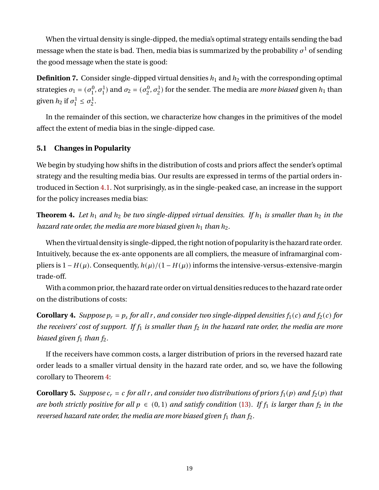When the virtual density is single-dipped, the media's optimal strategy entails sending the bad message when the state is bad. Then, media bias is summarized by the probability  $\sigma^1$  of sending the good message when the state is good:

**Definition 7.** Consider single-dipped virtual densities  $h_1$  and  $h_2$  with the corresponding optimal strategies  $\sigma_1 = (\sigma_1^0)$  $(\sigma_1^0, \sigma_1^1)$  and  $\sigma_2 = (\sigma_2^0)$  $\{2, \sigma_2^1, \sigma_2^1\}$  for the sender. The media are *more biased* given  $h_1$  than given  $h_2$  if  $\sigma_1^1$  $\sigma_1^1 \leq \sigma_2^1$  $\frac{1}{2}$ 

In the remainder of this section, we characterize how changes in the primitives of the model affect the extent of media bias in the single-dipped case.

#### **5.1 Changes in Popularity**

We begin by studying how shifts in the distribution of costs and priors affect the sender's optimal strategy and the resulting media bias. Our results are expressed in terms of the partial orders introduced in Section [4.1.](#page-13-1) Not surprisingly, as in the single-peaked case, an increase in the support for the policy increases media bias:

<span id="page-19-0"></span>**Theorem 4.** Let  $h_1$  and  $h_2$  be two single-dipped virtual densities. If  $h_1$  is smaller than  $h_2$  in the *hazard rate order, the media are more biased given*  $h_1$  *than*  $h_2$ *.* 

When the virtual density is single-dipped, the right notion of popularity is the hazard rate order. Intuitively, because the ex-ante opponents are all compliers, the measure of inframarginal compliers is  $1 - H(\mu)$ . Consequently,  $h(\mu)/(1 - H(\mu))$  informs the intensive-versus-extensive-margin trade-off.

With a common prior, the hazard rate order on virtual densities reduces to the hazard rate order on the distributions of costs:

<span id="page-19-1"></span>**Corollary 4.** *Suppose*  $p_r = p_s$  *for all r, and consider two single-dipped densities*  $f_1(c)$  *and*  $f_2(c)$  *for the receivers' cost of support. If*  $f_1$  *is smaller than*  $f_2$  *in the hazard rate order, the media are more biased given*  $f_1$  *than*  $f_2$ *.* 

If the receivers have common costs, a larger distribution of priors in the reversed hazard rate order leads to a smaller virtual density in the hazard rate order, and so, we have the following corollary to Theorem [4:](#page-19-0)

<span id="page-19-2"></span>**Corollary 5.** Suppose  $c_r = c$  for all r, and consider two distributions of priors  $f_1(p)$  and  $f_2(p)$  that *are both strictly positive for all*  $p \in (0, 1)$  *and satisfy condition* [\(13\)](#page-18-2). If  $f_1$  *is larger than*  $f_2$  *in the reversed hazard rate order, the media are more biased given*  $f_1$  *than*  $f_2$ *.*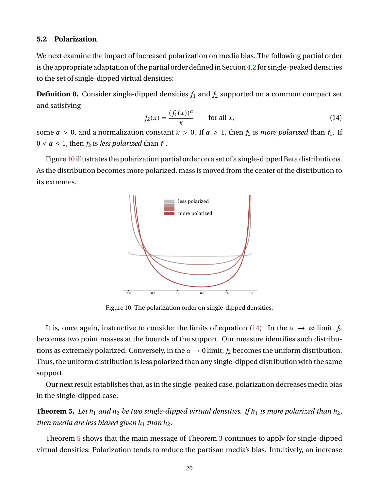#### **5.2 Polarization**

We next examine the impact of increased polarization on media bias. The following partial order is the appropriate adaptation of the partial order defined in Section [4.2](#page-15-2) for single-peaked densities to the set of single-dipped virtual densities:

**Definition 8.** Consider single-dipped densities  $f_1$  and  $f_2$  supported on a common compact set and satisfying

<span id="page-20-1"></span>
$$
f_2(x) = \frac{(f_1(x))^{\alpha}}{\kappa} \qquad \text{for all } x,
$$
 (14)

some  $\alpha > 0$ , and a normalization constant  $\kappa > 0$ . If  $\alpha \geq 1$ , then  $f_2$  is *more polarized* than  $f_1$ . If  $0 < \alpha \leq 1$ , then  $f_2$  is *less polarized* than  $f_1$ .

<span id="page-20-0"></span>Figure [10](#page-20-0) illustrates the polarization partial order on a set of a single-dipped Beta distributions. As the distribution becomes more polarized, mass is moved from the center of the distribution to its extremes.



Figure 10. The polarization order on single-dipped densities.

It is, once again, instructive to consider the limits of equation [\(14\)](#page-20-1). In the  $\alpha \to \infty$  limit,  $f_2$ becomes two point masses at the bounds of the support. Our measure identifies such distributions as extremely polarized. Conversely, in the  $\alpha \rightarrow 0$  limit,  $f_2$  becomes the uniform distribution. Thus, the uniform distribution is less polarized than any single-dipped distribution with the same support.

Our next result establishes that, as in the single-peaked case, polarization decreasesmedia bias in the single-dipped case:

<span id="page-20-2"></span>**Theorem 5.** Let  $h_1$  and  $h_2$  be two single-dipped virtual densities. If  $h_1$  is more polarized than  $h_2$ , *then media are less biased given*  $h_1$  *than*  $h_2$ *.* 

Theorem [5](#page-20-2) shows that the main message of Theorem [3](#page-16-0) continues to apply for single-dipped virtual densities: Polarization tends to reduce the partisan media's bias. Intuitively, an increase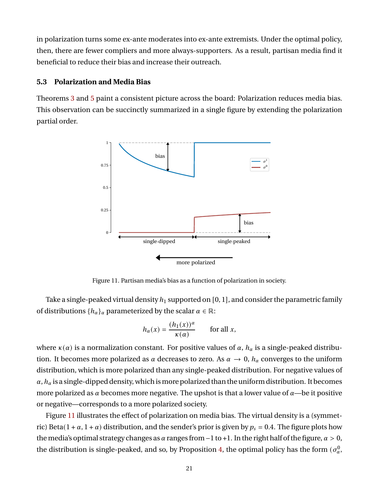in polarization turns some ex-ante moderates into ex-ante extremists. Under the optimal policy, then, there are fewer compliers and more always-supporters. As a result, partisan media find it beneficial to reduce their bias and increase their outreach.

#### **5.3 Polarization and Media Bias**

<span id="page-21-0"></span>Theorems [3](#page-16-0) and [5](#page-20-2) paint a consistent picture across the board: Polarization reduces media bias. This observation can be succinctly summarized in a single figure by extending the polarization partial order.



Figure 11. Partisan media's bias as a function of polarization in society.

Take a single-peaked virtual density  $h_1$  supported on [0, 1], and consider the parametric family of distributions  $\{h_{\alpha}\}_\alpha$  parameterized by the scalar  $\alpha \in \mathbb{R}$ :

$$
h_{\alpha}(x) = \frac{(h_1(x))^{\alpha}}{\kappa(\alpha)} \quad \text{for all } x,
$$

where  $\kappa(\alpha)$  is a normalization constant. For positive values of  $\alpha$ ,  $h_{\alpha}$  is a single-peaked distribution. It becomes more polarized as  $\alpha$  decreases to zero. As  $\alpha \to 0$ ,  $h_{\alpha}$  converges to the uniform distribution, which is more polarized than any single-peaked distribution. For negative values of  $\alpha$ ,  $h_{\alpha}$  is a single-dipped density, which is more polarized than the uniform distribution. It becomes more polarized as  $\alpha$  becomes more negative. The upshot is that a lower value of  $\alpha$ —be it positive or negative—corresponds to a more polarized society.

Figure [11](#page-21-0) illustrates the effect of polarization on media bias. The virtual density is a (symmetric) Beta(1 +  $\alpha$ , 1 +  $\alpha$ ) distribution, and the sender's prior is given by  $p_s = 0.4$ . The figure plots how the media's optimal strategy changes as  $\alpha$  ranges from  $-1$  to +1. In the right half of the figure,  $\alpha > 0$ , the distribution is single-peaked, and so, by Proposition [4,](#page-11-1) the optimal policy has the form  $(\sigma_{\alpha}^0, \sigma_{\beta}^0)$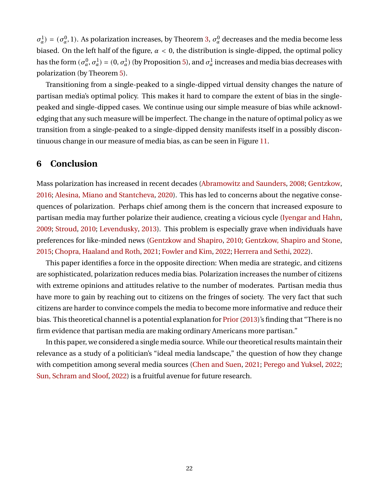$\sigma_{\alpha}^1$  =  $(\sigma_{\alpha}^0, 1)$ . As polarization increases, by Theorem [3,](#page-16-0)  $\sigma_{\alpha}^0$  decreases and the media become less biased. On the left half of the figure,  $\alpha < 0$ , the distribution is single-dipped, the optimal policy has the form  $(\sigma_\alpha^0,\sigma_\alpha^1)=(0,\sigma_\alpha^1)$  (by Proposition [5\)](#page-17-2), and  $\sigma_\alpha^1$  increases and media bias decreases with polarization (by Theorem [5\)](#page-20-2).

Transitioning from a single-peaked to a single-dipped virtual density changes the nature of partisan media's optimal policy. This makes it hard to compare the extent of bias in the singlepeaked and single-dipped cases. We continue using our simple measure of bias while acknowledging that any such measure will be imperfect. The change in the nature of optimal policy as we transition from a single-peaked to a single-dipped density manifests itself in a possibly discontinuous change in our measure of media bias, as can be seen in Figure [11.](#page-21-0)

# **6 Conclusion**

Mass polarization has increased in recent decades [\(Abramowitz and Saunders,](#page-40-10) [2008;](#page-40-10) [Gentzkow,](#page-41-11) [2016;](#page-41-11) [Alesina, Miano and Stantcheva,](#page-40-19) [2020\)](#page-40-19). This has led to concerns about the negative consequences of polarization. Perhaps chief among them is the concern that increased exposure to partisan media may further polarize their audience, creating a vicious cycle [\(Iyengar and Hahn,](#page-41-20) [2009;](#page-41-20) [Stroud,](#page-42-23) [2010;](#page-42-23) [Levendusky,](#page-42-3) [2013\)](#page-42-3). This problem is especially grave when individuals have preferences for like-minded news [\(Gentzkow and Shapiro,](#page-41-21) [2010;](#page-41-21) [Gentzkow, Shapiro and Stone,](#page-41-5) [2015;](#page-41-5) [Chopra, Haaland and Roth,](#page-40-20) [2021;](#page-40-20) [Fowler and Kim,](#page-41-22) [2022;](#page-41-22) [Herrera and Sethi,](#page-41-23) [2022\)](#page-41-23).

This paper identifies a force in the opposite direction: When media are strategic, and citizens are sophisticated, polarization reduces media bias. Polarization increases the number of citizens with extreme opinions and attitudes relative to the number of moderates. Partisan media thus have more to gain by reaching out to citizens on the fringes of society. The very fact that such citizens are harder to convince compels the media to become more informative and reduce their bias. This theoretical channel is a potential explanation for Prior (2013)'s finding that "There is no firm evidence that partisan media are making ordinary Americans more partisan."

In this paper, we considered a single media source. While our theoretical results maintain their relevance as a study of a politician's "ideal media landscape," the question of how they change with competition among several media sources [\(Chen and Suen,](#page-40-21) [2021;](#page-40-21) [Perego and Yuksel,](#page-42-24) [2022;](#page-42-24) [Sun, Schram and Sloof,](#page-42-9) [2022\)](#page-42-9) is a fruitful avenue for future research.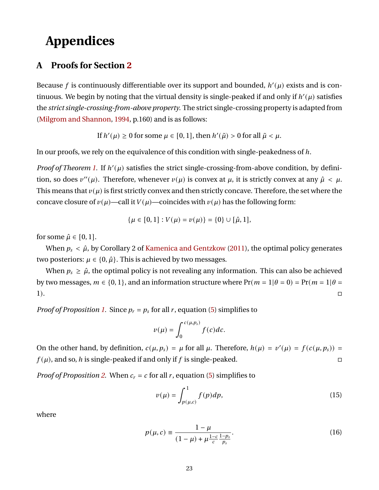# **Appendices**

# **A Proofs for Section [2](#page-4-1)**

Because f is continuously differentiable over its support and bounded,  $h'(\mu)$  exists and is continuous. We begin by noting that the virtual density is single-peaked if and only if  $h'(\mu)$  satisfies the *strict single-crossing-from-above property*. The strict single-crossing property is adapted from [\(Milgrom and Shannon,](#page-42-25) [1994,](#page-42-25) p.160) and is as follows:

If 
$$
h'(\mu) \ge 0
$$
 for some  $\mu \in [0, 1]$ , then  $h'(\tilde{\mu}) > 0$  for all  $\tilde{\mu} < \mu$ .

In our proofs, we rely on the equivalence of this condition with single-peakedness of h.

*Proof of Theorem [1.](#page-9-3)* If  $h'(\mu)$  satisfies the strict single-crossing-from-above condition, by definition, so does  $v''(\mu)$ . Therefore, whenever  $v(\mu)$  is convex at  $\mu$ , it is strictly convex at any  $\hat{\mu} < \mu$ . This means that  $v(\mu)$  is first strictly convex and then strictly concave. Therefore, the set where the concave closure of  $v(\mu)$ —call it  $V(\mu)$ —coincides with  $v(\mu)$  has the following form:

$$
\{\mu \in [0,1] : V(\mu) = v(\mu)\} = \{0\} \cup [\hat{\mu},1],
$$

for some  $\hat{\mu} \in [0, 1]$ .

When  $p_s < \hat{\mu}$ , by Corollary 2 of [Kamenica and Gentzkow](#page-41-2) [\(2011\)](#page-41-2), the optimal policy generates two posteriors:  $\mu \in \{0, \hat{\mu}\}\$ . This is achieved by two messages.

When  $p_s \geq \hat{\mu}$ , the optimal policy is not revealing any information. This can also be achieved by two messages,  $m \in \{0, 1\}$ , and an information structure where  $Pr(m = 1|\theta = 0) = Pr(m = 1|\theta = 1)$  $1$ ).

*Proof of Proposition [1.](#page-9-4)* Since  $p_r = p_s$  for all r, equation [\(5\)](#page-7-1) simplifies to

$$
v(\mu)=\int_0^{c(\mu,p_s)}f(c)dc.
$$

On the other hand, by definition,  $c(\mu, p_s) = \mu$  for all  $\mu$ . Therefore,  $h(\mu) = v'(\mu) = f(c(\mu, p_s)) =$  $f(\mu)$ , and so, h is single-peaked if and only if f is single-peaked.

*Proof of Proposition [2.](#page-9-0)* When  $c_r = c$  for all r, equation [\(5\)](#page-7-1) simplifies to

<span id="page-23-1"></span><span id="page-23-0"></span>
$$
\nu(\mu) = \int_{p(\mu,c)}^1 f(p) dp,\tag{15}
$$

where

$$
p(\mu, c) \equiv \frac{1 - \mu}{(1 - \mu) + \mu \frac{1 - c}{c} \frac{1 - p_s}{p_s}}.
$$
 (16)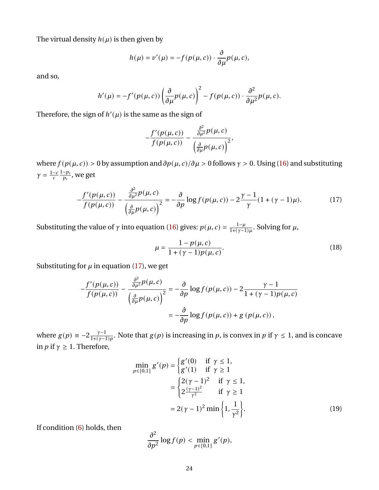The virtual density  $h(\mu)$  is then given by

$$
h(\mu)=\nu'(\mu)=-f(p(\mu,c))\cdot\frac{\partial}{\partial\mu}p(\mu,c),
$$

and so,

$$
h'(\mu) = -f'(\rho(\mu, c)) \left(\frac{\partial}{\partial \mu} p(\mu, c)\right)^2 - f(p(\mu, c)) \cdot \frac{\partial^2}{\partial \mu^2} p(\mu, c).
$$

Therefore, the sign of  $h'(\mu)$  is the same as the sign of

$$
-\frac{f'(p(\mu, c))}{f(p(\mu, c))}-\frac{\frac{\partial^2}{\partial \mu^2}p(\mu, c)}{\left(\frac{\partial}{\partial \mu}p(\mu, c)\right)^2},
$$

where  $f(p(\mu, c)) > 0$  by assumption and  $\partial p(\mu, c)/\partial \mu > 0$  follows  $\gamma > 0$ . Using [\(16\)](#page-23-0) and substituting  $\gamma = \frac{1-c}{c} \frac{1-p_s}{p_s}$  $\frac{-\rho_s}{\rho_s}$ , we get

$$
-\frac{f'(\mathbf{p}(\mu,c))}{f(\mathbf{p}(\mu,c))} - \frac{\frac{\partial^2}{\partial\mu^2}p(\mu,c)}{\left(\frac{\partial}{\partial\mu}p(\mu,c)\right)^2} = -\frac{\partial}{\partial p}\log f(\mathbf{p}(\mu,c)) - 2\frac{\gamma-1}{\gamma}(1+(\gamma-1)\mu). \tag{17}
$$

Substituting the value of  $\gamma$  into equation [\(16\)](#page-23-0) gives:  $p(\mu, c) = \frac{1-\mu}{1+(\gamma - c)}$  $\frac{1-\mu}{1+(\gamma-1)\mu}$ . Solving for  $\mu$ ,

<span id="page-24-0"></span>
$$
\mu = \frac{1 - p(\mu, c)}{1 + (\gamma - 1)p(\mu, c)}.
$$
\n(18)

Substituting for  $\mu$  in equation [\(17\)](#page-24-0), we get

$$
-\frac{f'(p(\mu, c))}{f(p(\mu, c))} - \frac{\frac{\partial^2}{\partial \mu^2} p(\mu, c)}{\left(\frac{\partial}{\partial \mu} p(\mu, c)\right)^2} = -\frac{\partial}{\partial p} \log f(p(\mu, c)) - 2 \frac{\gamma - 1}{1 + (\gamma - 1)p(\mu, c)}
$$

$$
= -\frac{\partial}{\partial p} \log f(p(\mu, c)) + g(p(\mu, c)),
$$

where  $g(p) \equiv -2 \frac{\gamma - 1}{1 + (\gamma - 1)}$  $\frac{\gamma-1}{1+(\gamma-1)p}$ . Note that  $g(p)$  is increasing in p, is convex in p if  $\gamma \leq 1$ , and is concave in  $p$  if  $\gamma \geq 1$ . Therefore,

$$
\min_{p \in [0,1]} g'(p) = \begin{cases} g'(0) & \text{if } \gamma \le 1, \\ g'(1) & \text{if } \gamma \ge 1 \end{cases}
$$

$$
= \begin{cases} 2(\gamma - 1)^2 & \text{if } \gamma \le 1, \\ 2\frac{(\gamma - 1)^2}{\gamma^2} & \text{if } \gamma \ge 1 \end{cases}
$$

$$
= 2(\gamma - 1)^2 \min \left\{ 1, \frac{1}{\gamma^2} \right\}. \tag{19}
$$

If condition [\(6\)](#page-9-1) holds, then

<span id="page-24-1"></span>
$$
\frac{\partial^2}{\partial p^2}\log f(p) < \min_{p\in[0,1]} g'(p),
$$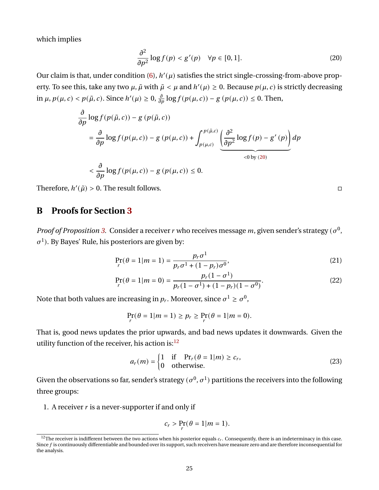which implies

$$
\frac{\partial^2}{\partial p^2} \log f(p) < g'(p) \quad \forall p \in [0, 1].\tag{20}
$$

Our claim is that, under condition  $(6)$ ,  $h'(\mu)$  satisfies the strict single-crossing-from-above property. To see this, take any two  $\mu$ ,  $\tilde{\mu}$  with  $\tilde{\mu} < \mu$  and  $h'(\mu) \ge 0$ . Because  $p(\mu, c)$  is strictly decreasing in  $\mu$ ,  $p(\mu, c) < p(\tilde{\mu}, c)$ . Since  $h'(\mu) \geq 0$ ,  $\frac{\partial}{\partial p} \log f(p(\mu, c)) - g(p(\mu, c)) \leq 0$ . Then,

$$
\frac{\partial}{\partial p} \log f(p(\tilde{\mu}, c)) - g(p(\tilde{\mu}, c))
$$
\n
$$
= \frac{\partial}{\partial p} \log f(p(\mu, c)) - g(p(\mu, c)) + \int_{p(\mu, c)}^{p(\tilde{\mu}, c)} \underbrace{\left(\frac{\partial^2}{\partial p^2} \log f(p) - g'(p)\right)}_{< 0 \text{ by (20)}} dp
$$
\n
$$
< \frac{\partial}{\partial p} \log f(p(\mu, c)) - g(p(\mu, c)) \le 0.
$$

Therefore,  $h'(\tilde{\mu}) > 0$ . The result follows.

## **B Proofs for Section [3](#page-9-5)**

*Proof of Proposition [3.](#page-10-2)* Consider a receiver r who receives message m, given sender's strategy ( $\sigma^0$ ,  $\sigma$ <sup>1</sup>). By Bayes' Rule, his posteriors are given by:

$$
\Pr_r(\theta = 1 | m = 1) = \frac{p_r \sigma^1}{p_r \sigma^1 + (1 - p_r) \sigma^0},\tag{21}
$$

$$
\Pr_r(\theta = 1 | m = 0) = \frac{p_r(1 - \sigma^1)}{p_r(1 - \sigma^1) + (1 - p_r)(1 - \sigma^0)}.
$$
\n(22)

Note that both values are increasing in  $p_r.$  Moreover, since  $\sigma^1 \geq \sigma^0,$ 

$$
\Pr_r(\theta = 1 | m = 1) \ge p_r \ge \Pr_r(\theta = 1 | m = 0).
$$

That is, good news updates the prior upwards, and bad news updates it downwards. Given the utility function of the receiver, his action is:[12](#page-25-1)

$$
a_r(m) = \begin{cases} 1 & \text{if } \Pr_r(\theta = 1|m) \ge c_r, \\ 0 & \text{otherwise.} \end{cases}
$$
 (23)

Given the observations so far, sender's strategy  $(\sigma^0, \sigma^1)$  partitions the receivers into the following three groups:

1. A receiver  $r$  is a never-supporter if and only if

$$
c_r > \Pr_r(\theta = 1 | m = 1).
$$

<span id="page-25-3"></span><span id="page-25-2"></span><span id="page-25-0"></span>

<span id="page-25-1"></span><sup>&</sup>lt;sup>12</sup>The receiver is indifferent between the two actions when his posterior equals  $c_r$ . Consequently, there is an indeterminacy in this case. Since  $f$  is continuously differentiable and bounded over its support, such receivers have measure zero and are therefore inconsequential for the analysis.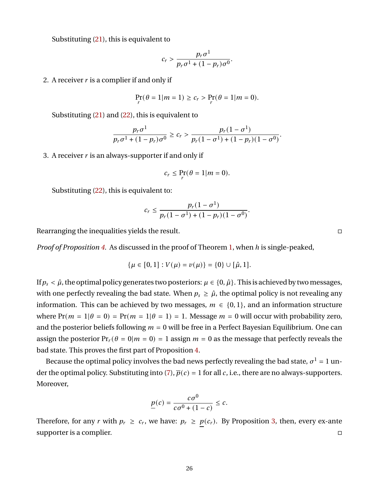Substituting [\(21\)](#page-25-2), this is equivalent to

$$
c_r > \frac{p_r \sigma^1}{p_r \sigma^1 + (1 - p_r) \sigma^0}.
$$

2. A receiver  $r$  is a complier if and only if

$$
\Pr_r(\theta = 1 | m = 1) \ge c_r > \Pr_r(\theta = 1 | m = 0).
$$

Substituting [\(21\)](#page-25-2) and [\(22\)](#page-25-3), this is equivalent to

$$
\frac{p_r \sigma^1}{p_r \sigma^1 + (1 - p_r) \sigma^0} \ge c_r > \frac{p_r (1 - \sigma^1)}{p_r (1 - \sigma^1) + (1 - p_r) (1 - \sigma^0)}
$$

3. A receiver  $r$  is an always-supporter if and only if

$$
c_r \leq \Pr_r(\theta = 1 | m = 0).
$$

Substituting [\(22\)](#page-25-3), this is equivalent to:

$$
c_r \leq \frac{p_r(1-\sigma^1)}{p_r(1-\sigma^1) + (1-p_r)(1-\sigma^0)}.
$$

Rearranging the inequalities yields the result.

*Proof of Proposition* [4.](#page-11-1) As discussed in the proof of Theorem [1,](#page-9-3) when h is single-peaked,

$$
\{\mu \in [0,1] : V(\mu) = v(\mu)\} = \{0\} \cup [\hat{\mu},1].
$$

If  $p_s < \hat{\mu}$ , the optimal policy generates two posteriors:  $\mu \in \{0, \hat{\mu}\}\$ . This is achieved by two messages, with one perfectly revealing the bad state. When  $p_s \geq \hat{\mu}$ , the optimal policy is not revealing any information. This can be achieved by two messages,  $m \in \{0, 1\}$ , and an information structure where  $Pr(m = 1|\theta = 0) = Pr(m = 1|\theta = 1) = 1$ . Message  $m = 0$  will occur with probability zero, and the posterior beliefs following  $m = 0$  will be free in a Perfect Bayesian Equilibrium. One can assign the posterior  $Pr_r(\theta = 0|m = 0) = 1$  assign  $m = 0$  as the message that perfectly reveals the bad state. This proves the first part of Proposition [4.](#page-11-1)

Because the optimal policy involves the bad news perfectly revealing the bad state,  $\sigma^1$  = 1 un-der the optimal policy. Substituting into [\(7\)](#page-10-0),  $\overline{p}(c) = 1$  for all c, i.e., there are no always-supporters. Moreover,

$$
\underline{p}(c) = \frac{c\sigma^0}{c\sigma^0 + (1 - c)} \leq c.
$$

Therefore, for any r with  $p_r \geq c_r$ , we have:  $p_r \geq p(c_r)$ . By Proposition [3,](#page-10-2) then, every ex-ante supporter is a complier.  $\Box$ 

.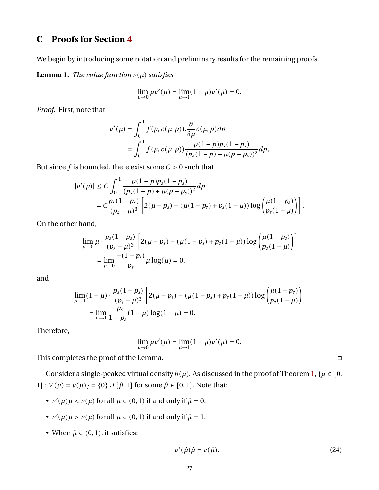# **C Proofs for Section [4](#page-13-2)**

We begin by introducing some notation and preliminary results for the remaining proofs.

<span id="page-27-0"></span>**Lemma 1.** *The value function*  $v(\mu)$  *satisfies* 

$$
\lim_{\mu \to 0} \mu v'(\mu) = \lim_{\mu \to 1} (1 - \mu) v'(\mu) = 0.
$$

*Proof.* First, note that

$$
v'(\mu) = \int_0^1 f(p, c(\mu, p)). \frac{\partial}{\partial \mu} c(\mu, p) dp
$$
  
= 
$$
\int_0^1 f(p, c(\mu, p)) \frac{p(1-p)p_s(1-p_s)}{(p_s(1-p) + \mu(p-p_s))^2} dp,
$$

But since  $f$  is bounded, there exist some  $C > 0$  such that

$$
|v'(\mu)| \le C \int_0^1 \frac{p(1-p)p_s(1-p_s)}{(p_s(1-p)+\mu(p-p_s))^2} dp
$$
  
=  $C \frac{p_s(1-p_s)}{(p_s-\mu)^3} \left[ 2(\mu-p_s) - (\mu(1-p_s)+p_s(1-\mu)) \log \left( \frac{\mu(1-p_s)}{p_s(1-\mu)} \right) \right].$ 

On the other hand,

$$
\lim_{\mu \to 0} \mu \cdot \frac{p_s (1 - p_s)}{(p_s - \mu)^3} \left[ 2(\mu - p_s) - (\mu(1 - p_s) + p_s (1 - \mu)) \log \left( \frac{\mu(1 - p_s)}{p_s (1 - \mu)} \right) \right]
$$
  
= 
$$
\lim_{\mu \to 0} \frac{-(1 - p_s)}{p_s} \mu \log(\mu) = 0,
$$

and

$$
\lim_{\mu \to 1} (1 - \mu) \cdot \frac{p_s (1 - p_s)}{(p_s - \mu)^3} \left[ 2(\mu - p_s) - (\mu (1 - p_s) + p_s (1 - \mu)) \log \left( \frac{\mu (1 - p_s)}{p_s (1 - \mu)} \right) \right]
$$
  
= 
$$
\lim_{\mu \to 1} \frac{-p_s}{1 - p_s} (1 - \mu) \log (1 - \mu) = 0.
$$

Therefore,

$$
\lim_{\mu \to 0} \mu v'(\mu) = \lim_{\mu \to 1} (1 - \mu) v'(\mu) = 0.
$$

This completes the proof of the Lemma.

Consider a single-peaked virtual density  $h(\mu)$ . As discussed in the proof of Theorem [1,](#page-9-3) { $\mu \in [0, 1]$ 1] :  $V(\mu) = v(\mu)$  = {0}  $\cup$  [ $\hat{\mu}$ , 1] for some  $\hat{\mu} \in [0, 1]$ . Note that:

- $v'(\mu)\mu < v(\mu)$  for all  $\mu \in (0, 1)$  if and only if  $\hat{\mu} = 0$ .
- $v'(\mu)\mu > v(\mu)$  for all  $\mu \in (0, 1)$  if and only if  $\hat{\mu} = 1$ .
- When  $\hat{\mu} \in (0, 1)$ , it satisfies:

$$
v'(\hat{\mu})\hat{\mu} = v(\hat{\mu}).\tag{24}
$$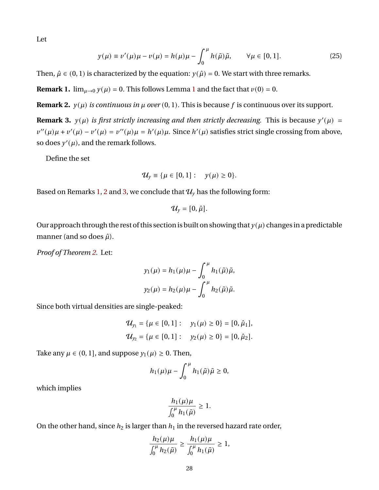Let

$$
y(\mu) \equiv v'(\mu)\mu - v(\mu) = h(\mu)\mu - \int_0^{\mu} h(\tilde{\mu})\tilde{\mu}, \qquad \forall \mu \in [0, 1].
$$
 (25)

Then,  $\hat{\mu} \in (0, 1)$  is characterized by the equation:  $y(\hat{\mu}) = 0$ . We start with three remarks.

<span id="page-28-0"></span>**Remark [1](#page-27-0).**  $\lim_{\mu \to 0} y(\mu) = 0$ . This follows Lemma 1 and the fact that  $v(0) = 0$ .

<span id="page-28-1"></span>**Remark 2.**  $y(\mu)$  *is continuous in*  $\mu$  *over* (0, 1). This is because f is continuous over its support.

<span id="page-28-2"></span>**Remark 3.**  $y(\mu)$  is first strictly increasing and then strictly decreasing. This is because  $y'(\mu)$  =  $v''(\mu)\mu + v'(\mu) - v'(\mu) = v''(\mu)\mu = h'(\mu)\mu$ . Since  $h'(\mu)$  satisfies strict single crossing from above, so does  $y'(\mu)$ , and the remark follows.

Define the set

$$
\mathcal{U}_{y} \equiv \{\mu \in [0,1]: \quad y(\mu) \geq 0\}.
$$

Based on Remarks [1,](#page-28-0) [2](#page-28-1) and [3,](#page-28-2) we conclude that  $\mathcal{U}_{v}$  has the following form:

$$
\mathcal{U}_{y}=[0,\hat{\mu}].
$$

Our approach through the rest of this section is built on showing that  $y(\mu)$  changes in a predictable manner (and so does  $\hat{\mu}$ ).

*Proof of Theorem [2.](#page-14-0)* Let:

$$
y_1(\mu) = h_1(\mu)\mu - \int_0^{\mu} h_1(\tilde{\mu})\tilde{\mu},
$$
  

$$
y_2(\mu) = h_2(\mu)\mu - \int_0^{\mu} h_2(\tilde{\mu})\tilde{\mu}.
$$

Since both virtual densities are single-peaked:

$$
\mathcal{U}_{y_1} = \{ \mu \in [0, 1] : y_1(\mu) \ge 0 \} = [0, \hat{\mu}_1],
$$
  

$$
\mathcal{U}_{y_2} = \{ \mu \in [0, 1] : y_2(\mu) \ge 0 \} = [0, \hat{\mu}_2].
$$

Take any  $\mu \in (0, 1]$ , and suppose  $y_1(\mu) \geq 0$ . Then,

$$
h_1(\mu)\mu - \int_0^\mu h_1(\tilde\mu)\tilde\mu \ge 0,
$$

which implies

$$
\frac{h_1(\mu)\mu}{\int_0^\mu h_1(\tilde\mu)}\geq 1.
$$

On the other hand, since  $h_2$  is larger than  $h_1$  in the reversed hazard rate order,

$$
\frac{h_2(\mu)\mu}{\int_0^{\mu}h_2(\tilde{\mu})} \ge \frac{h_1(\mu)\mu}{\int_0^{\mu}h_1(\tilde{\mu})} \ge 1,
$$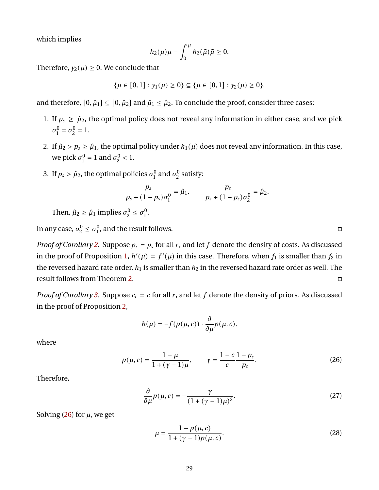which implies

$$
h_2(\mu)\mu - \int_0^\mu h_2(\tilde\mu)\tilde\mu \ge 0.
$$

Therefore,  $y_2(\mu) \geq 0$ . We conclude that

$$
\{\mu \in [0,1] : y_1(\mu) \ge 0\} \subseteq \{\mu \in [0,1] : y_2(\mu) \ge 0\},\
$$

and therefore,  $[0, \hat{\mu}_1] \subseteq [0, \hat{\mu}_2]$  and  $\hat{\mu}_1 \leq \hat{\mu}_2$ . To conclude the proof, consider three cases:

- 1. If  $p_s \ge \hat{\mu}_2$ , the optimal policy does not reveal any information in either case, and we pick  $\sigma^0$  $\sigma_1^0 = \sigma_2^0$  $\frac{0}{2} = 1.$
- 2. If  $\hat{\mu}_2 > p_s \ge \hat{\mu}_1$ , the optimal policy under  $h_1(\mu)$  does not reveal any information. In this case, we pick  $\sigma_1^0$  $\sigma_1^0 = 1$  and  $\sigma_2^0$  $\frac{0}{2}$  < 1.
- 3. If  $p_s > \hat{\mu}_2$ , the optimal policies  $\sigma_1^0$  $\frac{1}{1}$  and  $\sigma_2^0$  $\frac{0}{2}$  satisfy:

$$
\frac{p_s}{p_s + (1 - p_s)\sigma_1^0} = \hat{\mu}_1, \qquad \frac{p_s}{p_s + (1 - p_s)\sigma_2^0} = \hat{\mu}_2.
$$

Then,  $\hat{\mu}_2 \ge \hat{\mu}_1$  implies  $\sigma_2^0$  $c_2^0 \leq \sigma_1^0$  $\frac{0}{1}$ .

In any case,  $\sigma_2^0$  $c_2^0 \leq \sigma_1^0$  $_1^0$ , and the result follows.

*Proof of Corollary [2.](#page-14-1)* Suppose  $p_r = p_s$  for all r, and let f denote the density of costs. As discussed in the proof of Proposition [1,](#page-9-4)  $h'(\mu) = f'(\mu)$  in this case. Therefore, when  $f_1$  is smaller than  $f_2$  in the reversed hazard rate order,  $h_1$  is smaller than  $h_2$  in the reversed hazard rate order as well. The result follows from Theorem [2.](#page-14-0)

*Proof of Corollary* [3.](#page-15-3) Suppose  $c_r = c$  for all  $r$ , and let  $f$  denote the density of priors. As discussed in the proof of Proposition [2,](#page-9-0)

$$
h(\mu) = -f(p(\mu, c)) \cdot \frac{\partial}{\partial \mu} p(\mu, c),
$$

where

$$
p(\mu, c) = \frac{1 - \mu}{1 + (\gamma - 1)\mu}, \qquad \gamma = \frac{1 - c}{c} \frac{1 - p_s}{p_s}.
$$
 (26)

Therefore,

$$
\frac{\partial}{\partial \mu} p(\mu, c) = -\frac{\gamma}{(1 + (\gamma - 1)\mu)^2}.
$$
\n(27)

Solving  $(26)$  for  $\mu$ , we get

<span id="page-29-1"></span>
$$
\mu = \frac{1 - p(\mu, c)}{1 + (\gamma - 1)p(\mu, c)}.
$$
\n(28)

<span id="page-29-2"></span><span id="page-29-0"></span>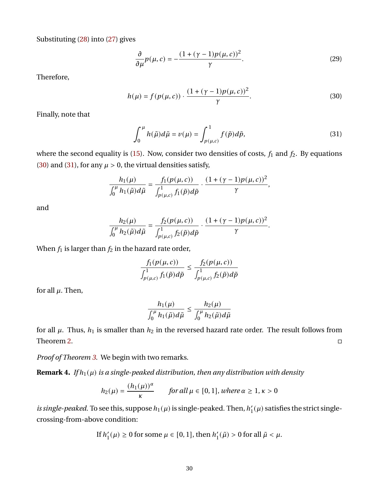Substituting [\(28\)](#page-29-1) into [\(27\)](#page-29-2) gives

<span id="page-30-0"></span>
$$
\frac{\partial}{\partial \mu}p(\mu, c) = -\frac{(1 + (\gamma - 1)p(\mu, c))^2}{\gamma}.
$$
\n(29)

Therefore,

$$
h(\mu) = f(p(\mu, c)) \cdot \frac{(1 + (\gamma - 1)p(\mu, c))^2}{\gamma}.
$$
 (30)

Finally, note that

<span id="page-30-1"></span>
$$
\int_0^{\mu} h(\tilde{\mu}) d\tilde{\mu} = v(\mu) = \int_{p(\mu,c)}^1 f(\tilde{p}) d\tilde{p}, \tag{31}
$$

where the second equality is [\(15\)](#page-23-1). Now, consider two densities of costs,  $f_1$  and  $f_2$ . By equations [\(30\)](#page-30-0) and [\(31\)](#page-30-1), for any  $\mu > 0$ , the virtual densities satisfy,

$$
\frac{h_1(\mu)}{\int_0^{\mu} h_1(\tilde{\mu}) d\tilde{\mu}} = \frac{f_1(p(\mu, c))}{\int_{p(\mu, c)}^1 f_1(\tilde{p}) d\tilde{p}} \cdot \frac{(1 + (\gamma - 1)p(\mu, c))^2}{\gamma},
$$

and

$$
\frac{h_2(\mu)}{\int_0^{\mu} h_2(\tilde{\mu}) d\tilde{\mu}} = \frac{f_2(p(\mu, c))}{\int_{p(\mu, c)}^1 f_2(\tilde{p}) d\tilde{p}} \cdot \frac{(1 + (\gamma - 1)p(\mu, c))^2}{\gamma}.
$$

When  $f_1$  is larger than  $f_2$  in the hazard rate order,

$$
\frac{f_1(p(\mu, c))}{\int_{p(\mu, c)}^1 f_1(\tilde{p}) d\tilde{p}} \le \frac{f_2(p(\mu, c))}{\int_{p(\mu, c)}^1 f_2(\tilde{p}) d\tilde{p}}
$$

for all  $\mu$ . Then,

$$
\frac{h_1(\mu)}{\int_0^{\mu} h_1(\tilde{\mu}) d\tilde{\mu}} \leq \frac{h_2(\mu)}{\int_0^{\mu} h_2(\tilde{\mu}) d\tilde{\mu}}
$$

for all  $\mu$ . Thus,  $h_1$  is smaller than  $h_2$  in the reversed hazard rate order. The result follows from Theorem [2.](#page-14-0)

*Proof of Theorem [3.](#page-16-0)* We begin with two remarks.

<span id="page-30-2"></span>**Remark 4.** *If*  $h_1(\mu)$  *is a single-peaked distribution, then any distribution with density* 

$$
h_2(\mu) = \frac{(h_1(\mu))^{\alpha}}{\kappa} \quad \text{for all } \mu \in [0, 1], \text{ where } \alpha \ge 1, \kappa > 0
$$

*is single-peaked*. To see this, suppose  $h_1(\mu)$  is single-peaked. Then,  $h'_1$  $I_1'(\mu)$  satisfies the strict singlecrossing-from-above condition:

If 
$$
h'_1(\mu) \ge 0
$$
 for some  $\mu \in [0, 1]$ , then  $h'_1(\tilde{\mu}) > 0$  for all  $\tilde{\mu} < \mu$ .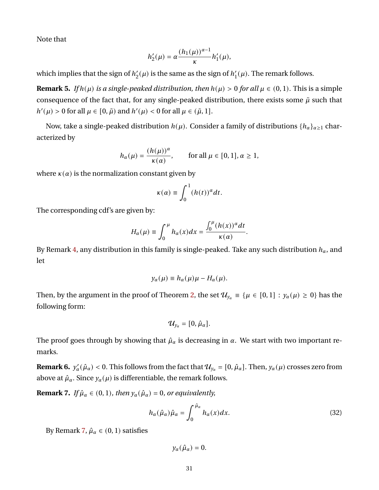Note that

$$
h_2'(\mu) = \alpha \frac{(h_1(\mu))^{\alpha-1}}{\kappa} h_1'(\mu),
$$

which implies that the sign of  $h_2$  $2'_{2}(\mu)$  is the same as the sign of  $h_{1}'$  $I_1'(\mu)$ . The remark follows.

**Remark 5.** *If*  $h(\mu)$  *is a single-peaked distribution, then*  $h(\mu) > 0$  *for all*  $\mu \in (0, 1)$ *.* This is a simple consequence of the fact that, for any single-peaked distribution, there exists some  $\tilde{\mu}$  such that  $h'(\mu) > 0$  for all  $\mu \in [0, \tilde{\mu})$  and  $h'(\mu) < 0$  for all  $\mu \in (\tilde{\mu}, 1]$ .

Now, take a single-peaked distribution  $h(\mu)$ . Consider a family of distributions  $\{h_{\alpha}\}_{{\alpha}>1}$  characterized by

$$
h_{\alpha}(\mu) = \frac{(h(\mu))^{\alpha}}{\kappa(\alpha)}, \quad \text{for all } \mu \in [0, 1], \alpha \ge 1,
$$

where  $\kappa(\alpha)$  is the normalization constant given by

$$
\kappa(\alpha) \equiv \int_0^1 (h(t))^{\alpha} dt.
$$

The corresponding cdf's are given by:

$$
H_{\alpha}(\mu) \equiv \int_0^{\mu} h_{\alpha}(x) dx = \frac{\int_0^{\mu} (h(x))^{\alpha} dt}{\kappa(\alpha)}.
$$

By Remark [4,](#page-30-2) any distribution in this family is single-peaked. Take any such distribution  $h_{\alpha}$ , and let

$$
y_{\alpha}(\mu) \equiv h_{\alpha}(\mu)\mu - H_{\alpha}(\mu).
$$

Then, by the argument in the proof of Theorem [2,](#page-14-0) the set  $\mathcal{U}_{y_\alpha} \equiv {\mu \in [0,1] : y_\alpha(\mu) \ge 0}$  has the following form:

$$
\mathcal{U}_{y_{\alpha}}=[0,\hat{\mu}_{\alpha}].
$$

The proof goes through by showing that  $\hat{\mu}_{\alpha}$  is decreasing in  $\alpha$ . We start with two important remarks.

<span id="page-31-1"></span>**Remark 6.**  $y'_\n\alpha(\hat{\mu}_\alpha) < 0$ . This follows from the fact that  $\mathcal{U}_{y_\alpha} = [0, \hat{\mu}_\alpha]$ . Then,  $y_\alpha(\mu)$  crosses zero from above at  $\hat{\mu}_{\alpha}$ . Since  $y_{\alpha}(\mu)$  is differentiable, the remark follows.

<span id="page-31-0"></span>**Remark 7.** *If*  $\hat{\mu}_{\alpha} \in (0, 1)$ *, then*  $y_{\alpha}(\hat{\mu}_{\alpha}) = 0$ *, or equivalently,* 

$$
h_{\alpha}(\hat{\mu}_{\alpha})\hat{\mu}_{\alpha} = \int_0^{\hat{\mu}_{\alpha}} h_{\alpha}(x)dx.
$$
 (32)

By Remark [7,](#page-31-0)  $\hat{\mu}_{\alpha} \in (0, 1)$  satisfies

<span id="page-31-2"></span> $y_{\alpha}(\hat{\mu}_{\alpha}) = 0.$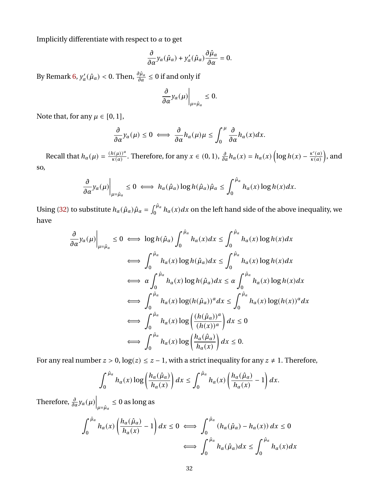Implicitly differentiate with respect to  $\alpha$  to get

$$
\frac{\partial}{\partial \alpha} y_{\alpha}(\hat{\mu}_{\alpha}) + y'_{\alpha}(\hat{\mu}_{\alpha}) \frac{\partial \hat{\mu}_{\alpha}}{\partial \alpha} = 0.
$$

By Remark [6,](#page-31-1)  $y'_{\alpha}(\hat{\mu}_{\alpha}) < 0.$  Then,  $\frac{\partial \hat{\mu}_{\alpha}}{\partial \alpha} \leq 0$  if and only if

$$
\left.\frac{\partial}{\partial\alpha}y_{\alpha}(\mu)\right|_{\mu=\hat{\mu}_{\alpha}}\leq 0.
$$

Note that, for any  $\mu \in [0, 1]$ ,

$$
\frac{\partial}{\partial \alpha} y_{\alpha}(\mu) \leq 0 \iff \frac{\partial}{\partial \alpha} h_{\alpha}(\mu) \mu \leq \int_0^{\mu} \frac{\partial}{\partial \alpha} h_{\alpha}(x) dx.
$$

Recall that  $h_{\alpha}(\mu) = \frac{(h(\mu))^{\alpha}}{\kappa(\alpha)}$  $\frac{h(\mu x)}{\kappa(\alpha)}$ . Therefore, for any  $x \in (0, 1)$ ,  $\frac{\partial}{\partial \alpha} h_{\alpha}(x) = h_{\alpha}(x) \left( \log h(x) - \frac{\kappa'(x)}{\kappa(\alpha)} \right)$  $\frac{\kappa'(\alpha)}{\kappa(\alpha)}\Big)$ , and so,

$$
\frac{\partial}{\partial \alpha} y_{\alpha}(\mu)\Big|_{\mu=\hat{\mu}_{\alpha}} \leq 0 \iff h_{\alpha}(\hat{\mu}_{\alpha}) \log h(\hat{\mu}_{\alpha}) \hat{\mu}_{\alpha} \leq \int_{0}^{\hat{\mu}_{\alpha}} h_{\alpha}(x) \log h(x) dx.
$$

Using [\(32\)](#page-31-2) to substitute  $h_\alpha(\hat\mu_\alpha)\hat\mu_\alpha=\int_0^{\hat\mu_\alpha}h_\alpha(x)dx$  on the left hand side of the above inequality, we have

$$
\frac{\partial}{\partial \alpha} y_{\alpha}(\mu) \Big|_{\mu = \hat{\mu}_{\alpha}} \le 0 \iff \log h(\hat{\mu}_{\alpha}) \int_{0}^{\hat{\mu}_{\alpha}} h_{\alpha}(x) dx \le \int_{0}^{\hat{\mu}_{\alpha}} h_{\alpha}(x) \log h(x) dx
$$
  

$$
\iff \int_{0}^{\hat{\mu}_{\alpha}} h_{\alpha}(x) \log h(\hat{\mu}_{\alpha}) dx \le \int_{0}^{\hat{\mu}_{\alpha}} h_{\alpha}(x) \log h(x) dx
$$
  

$$
\iff \int_{0}^{\hat{\mu}_{\alpha}} h_{\alpha}(x) \log h(\hat{\mu}_{\alpha}) dx \le \alpha \int_{0}^{\hat{\mu}_{\alpha}} h_{\alpha}(x) \log h(x) dx
$$
  

$$
\iff \int_{0}^{\hat{\mu}_{\alpha}} h_{\alpha}(x) \log(h(\hat{\mu}_{\alpha}))^{\alpha} dx \le \int_{0}^{\hat{\mu}_{\alpha}} h_{\alpha}(x) \log(h(x))^{\alpha} dx
$$
  

$$
\iff \int_{0}^{\hat{\mu}_{\alpha}} h_{\alpha}(x) \log \left(\frac{(h(\hat{\mu}_{\alpha}))^{\alpha}}{(h(x))^{\alpha}}\right) dx \le 0
$$
  

$$
\iff \int_{0}^{\hat{\mu}_{\alpha}} h_{\alpha}(x) \log \left(\frac{h_{\alpha}(\hat{\mu}_{\alpha})}{h_{\alpha}(x)}\right) dx \le 0.
$$

For any real number  $z > 0$ ,  $log(z) \le z - 1$ , with a strict inequality for any  $z \ne 1$ . Therefore,

$$
\int_0^{\hat{\mu}_\alpha} h_\alpha(x) \log \left( \frac{h_\alpha(\hat{\mu}_\alpha)}{h_\alpha(x)} \right) dx \leq \int_0^{\hat{\mu}_\alpha} h_\alpha(x) \left( \frac{h_\alpha(\hat{\mu}_\alpha)}{h_\alpha(x)} - 1 \right) dx.
$$

Therefore,  $\frac{\partial}{\partial \alpha} y_{\alpha}(\mu) \Big|_{\mu = \hat{\mu}_{\alpha}} \leq 0$  as long as

$$
\int_0^{\hat{\mu}_\alpha} h_\alpha(x) \left( \frac{h_\alpha(\hat{\mu}_\alpha)}{h_\alpha(x)} - 1 \right) dx \le 0 \iff \int_0^{\hat{\mu}_\alpha} \left( h_\alpha(\hat{\mu}_\alpha) - h_\alpha(x) \right) dx \le 0
$$

$$
\iff \int_0^{\hat{\mu}_\alpha} h_\alpha(\hat{\mu}_\alpha) dx \le \int_0^{\hat{\mu}_\alpha} h_\alpha(x) dx
$$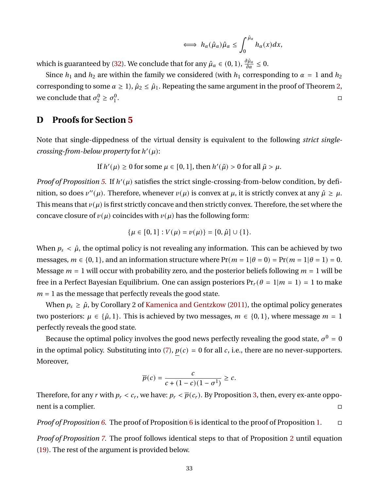$$
\iff h_{\alpha}(\hat{\mu}_{\alpha})\hat{\mu}_{\alpha} \leq \int_0^{\hat{\mu}_{\alpha}} h_{\alpha}(x)dx,
$$

which is guaranteed by [\(32\)](#page-31-2). We conclude that for any  $\hat{\mu}_{\alpha} \in (0, 1)$ ,  $\frac{\partial \hat{\mu}_{\alpha}}{\partial \alpha} \leq 0$ .

Since  $h_1$  and  $h_2$  are within the family we considered (with  $h_1$  corresponding to  $\alpha = 1$  and  $h_2$ corresponding to some  $\alpha \geq 1$ ,  $\hat{\mu}_2 \leq \hat{\mu}_1$ . Repeating the same argument in the proof of Theorem [2,](#page-14-0) we conclude that  $\sigma_2^0$  $c_2^0 \geq \sigma_1^0$ 1 .<br>1980 - Paul Barbara, politikar estatubatuar estatubatuar estatubatuar estatubatuar estatubatuar estatubatuar<br>1980 - Paul Barbara, politikar estatubatuar estatubatuar estatubatuar estatubatuar estatubatuar estatubatuar

## **D Proofs for Section [5](#page-17-0)**

Note that single-dippedness of the virtual density is equivalent to the following *strict single*crossing-from-below property for  $h'(\mu)$ :

If 
$$
h'(\mu) \ge 0
$$
 for some  $\mu \in [0, 1]$ , then  $h'(\tilde{\mu}) > 0$  for all  $\tilde{\mu} > \mu$ .

*Proof of Proposition* [5.](#page-17-2) If  $h'(\mu)$  satisfies the strict single-crossing-from-below condition, by definition, so does  $v''(\mu)$ . Therefore, whenever  $v(\mu)$  is convex at  $\mu$ , it is strictly convex at any  $\hat{\mu} \ge \mu$ . This means that  $v(\mu)$  is first strictly concave and then strictly convex. Therefore, the set where the concave closure of  $v(\mu)$  coincides with  $v(\mu)$  has the following form:

$$
\{\mu \in [0,1] : V(\mu) = v(\mu)\} = [0,\hat{\mu}] \cup \{1\}.
$$

When  $p_s < \hat{\mu}$ , the optimal policy is not revealing any information. This can be achieved by two messages,  $m \in \{0, 1\}$ , and an information structure where  $Pr(m = 1|\theta = 0) = Pr(m = 1|\theta = 1) = 0$ . Message  $m = 1$  will occur with probability zero, and the posterior beliefs following  $m = 1$  will be free in a Perfect Bayesian Equilibrium. One can assign posteriors  $Pr_r(\theta = 1 | m = 1) = 1$  to make  $m = 1$  as the message that perfectly reveals the good state.

When  $p_s \geq \hat{\mu}$ , by Corollary 2 of [Kamenica and Gentzkow](#page-41-2) [\(2011\)](#page-41-2), the optimal policy generates two posteriors:  $\mu \in {\hat{\mu}, 1}$ . This is achieved by two messages,  $m \in \{0, 1\}$ , where message  $m = 1$ perfectly reveals the good state.

Because the optimal policy involves the good news perfectly revealing the good state,  $\sigma^0$  = 0 in the optimal policy. Substituting into [\(7\)](#page-10-0),  $p(c) = 0$  for all c, i.e., there are no never-supporters. Moreover,

$$
\overline{p}(c) = \frac{c}{c + (1 - c)(1 - \sigma^1)} \geq c.
$$

Therefore, for any r with  $p_r < c_r$ , we have:  $p_r < \overline{p}(c_r)$ . By Proposition [3,](#page-10-2) then, every ex-ante opponent is a complier.

*Proof of Proposition [6.](#page-18-3)* The proof of Proposition [6](#page-18-3) is identical to the proof of Proposition [1.](#page-9-4)

*Proof of Proposition [7.](#page-18-4)* The proof follows identical steps to that of Proposition [2](#page-9-0) until equation [\(19\)](#page-24-1). The rest of the argument is provided below.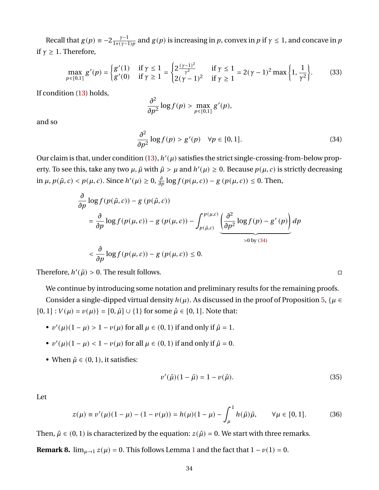Recall that  $g(p) \equiv -2 \frac{\gamma - 1}{1 + (\gamma - 1)}$  $\frac{\gamma-1}{1+(\gamma-1)p}$  and  $g(p)$  is increasing in  $p$ , convex in  $p$  if  $\gamma \leq 1$ , and concave in  $p$ if  $\gamma \geq 1$ . Therefore,

$$
\max_{p \in [0,1]} g'(p) = \begin{cases} g'(1) & \text{if } \gamma \le 1 \\ g'(0) & \text{if } \gamma \ge 1 \end{cases} = \begin{cases} 2\frac{(\gamma - 1)^2}{\gamma^2} & \text{if } \gamma \le 1 \\ 2(\gamma - 1)^2 & \text{if } \gamma \ge 1 \end{cases} = 2(\gamma - 1)^2 \max\left\{1, \frac{1}{\gamma^2}\right\}. \tag{33}
$$

If condition [\(13\)](#page-18-2) holds,

<span id="page-34-0"></span>
$$
\frac{\partial^2}{\partial p^2}\log f(p)>\max_{p\in[0,1]}g'(p),
$$

and so

$$
\frac{\partial^2}{\partial p^2} \log f(p) > g'(p) \quad \forall p \in [0, 1]. \tag{34}
$$

Our claim is that, under condition  $(13)$ ,  $h'(\mu)$  satisfies the strict single-crossing-from-below property. To see this, take any two  $\mu$ ,  $\tilde{\mu}$  with  $\tilde{\mu} > \mu$  and  $h'(\mu) \ge 0$ . Because  $p(\mu, c)$  is strictly decreasing in  $\mu$ ,  $p(\tilde{\mu}, c) < p(\mu, c)$ . Since  $h'(\mu) \geq 0$ ,  $\frac{\partial}{\partial p} \log f(p(\mu, c)) - g(p(\mu, c)) \leq 0$ . Then,

$$
\frac{\partial}{\partial p} \log f(p(\tilde{\mu}, c)) - g(p(\tilde{\mu}, c))
$$
\n
$$
= \frac{\partial}{\partial p} \log f(p(\mu, c)) - g(p(\mu, c)) - \int_{p(\tilde{\mu}, c)}^{p(\mu, c)} \underbrace{\left(\frac{\partial^2}{\partial p^2} \log f(p) - g'(p)\right)}_{>0 \text{ by (34)}} dp
$$
\n
$$
< \frac{\partial}{\partial p} \log f(p(\mu, c)) - g(p(\mu, c)) \le 0.
$$

Therefore,  $h'(\tilde{\mu}) > 0$ . The result follows.

We continue by introducing some notation and preliminary results for the remaining proofs.

Consider a single-dipped virtual density  $h(\mu)$ . As discussed in the proof of Proposition [5,](#page-17-2) { $\mu \in$  $[0, 1]$ :  $V(\mu) = v(\mu)$ } =  $[0, \hat{\mu}] \cup \{1\}$  for some  $\hat{\mu} \in [0, 1]$ . Note that:

- $v'(\mu)(1 \mu) > 1 v(\mu)$  for all  $\mu \in (0, 1)$  if and only if  $\hat{\mu} = 1$ .
- $v'(\mu)(1 \mu) < 1 v(\mu)$  for all  $\mu \in (0, 1)$  if and only if  $\hat{\mu} = 0$ .
- When  $\hat{\mu} \in (0, 1)$ , it satisfies:

$$
v'(\hat{\mu})(1 - \hat{\mu}) = 1 - v(\hat{\mu}).
$$
\n(35)

Let

$$
z(\mu) \equiv v'(\mu)(1 - \mu) - (1 - v(\mu)) = h(\mu)(1 - \mu) - \int_{\mu}^{1} h(\tilde{\mu})\tilde{\mu}, \qquad \forall \mu \in [0, 1].
$$
 (36)

Then,  $\hat{\mu} \in (0, 1)$  is characterized by the equation:  $z(\hat{\mu}) = 0$ . We start with three remarks.

<span id="page-34-1"></span>**Remark 8.**  $\lim_{\mu \to 1} z(\mu) = 0$  $\lim_{\mu \to 1} z(\mu) = 0$  $\lim_{\mu \to 1} z(\mu) = 0$ . This follows Lemma 1 and the fact that  $1 - \nu(1) = 0$ .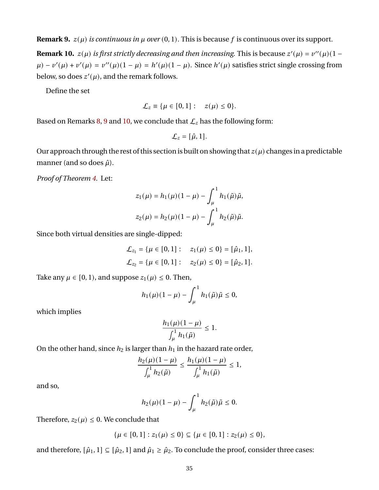<span id="page-35-0"></span>**Remark 9.**  $z(\mu)$  *is continuous in*  $\mu$  *over* (0, 1). This is because f is continuous over its support.

<span id="page-35-1"></span>**Remark 10.**  $z(\mu)$  is first strictly decreasing and then increasing. This is because  $z'(\mu) = v''(\mu)(1 - \mu)$  $\mu$ ) –  $v'(\mu) + v'(\mu) = v''(\mu)(1 - \mu) = h'(\mu)(1 - \mu)$ . Since  $h'(\mu)$  satisfies strict single crossing from below, so does  $z'(\mu)$ , and the remark follows.

Define the set

$$
\mathcal{L}_z \equiv \{\mu \in [0,1]: \quad z(\mu) \leq 0\}.
$$

Based on Remarks [8,](#page-34-1) [9](#page-35-0) and [10,](#page-35-1) we conclude that  $\mathcal{L}_z$  has the following form:

$$
\mathcal{L}_z=[\hat{\mu},1].
$$

Our approach through the rest of this section is built on showing that  $z(\mu)$  changes in a predictable manner (and so does  $\hat{\mu}$ ).

*Proof of Theorem [4.](#page-19-0)* Let:

$$
z_1(\mu) = h_1(\mu)(1 - \mu) - \int_{\mu}^{1} h_1(\tilde{\mu})\tilde{\mu},
$$
  

$$
z_2(\mu) = h_2(\mu)(1 - \mu) - \int_{\mu}^{1} h_2(\tilde{\mu})\tilde{\mu}.
$$

Since both virtual densities are single-dipped:

$$
\mathcal{L}_{z_1} = {\mu \in [0, 1]: \quad z_1(\mu) \le 0} = [\hat{\mu}_1, 1],
$$
  

$$
\mathcal{L}_{z_2} = {\mu \in [0, 1]: \quad z_2(\mu) \le 0} = [\hat{\mu}_2, 1].
$$

Take any  $\mu \in [0, 1)$ , and suppose  $z_1(\mu) \leq 0$ . Then,

$$
h_1(\mu)(1 - \mu) - \int_{\mu}^{1} h_1(\tilde{\mu}) \tilde{\mu} \le 0,
$$

which implies

$$
\frac{h_1(\mu)(1-\mu)}{\int_{\mu}^1 h_1(\tilde{\mu})} \leq 1.
$$

On the other hand, since  $h_2$  is larger than  $h_1$  in the hazard rate order,

$$
\frac{h_2(\mu)(1-\mu)}{\int_{\mu}^1 h_2(\tilde{\mu})} \le \frac{h_1(\mu)(1-\mu)}{\int_{\mu}^1 h_1(\tilde{\mu})} \le 1,
$$

and so,

$$
h_2(\mu)(1-\mu)-\int_{\mu}^1h_2(\tilde{\mu})\tilde{\mu}\leq 0.
$$

Therefore,  $z_2(\mu) \leq 0$ . We conclude that

$$
\{\mu\in [0,1]: z_1(\mu)\leq 0\}\subseteq \{\mu\in [0,1]: z_2(\mu)\leq 0\},
$$

and therefore,  $[\hat{\mu}_1, 1] \subseteq [\hat{\mu}_2, 1]$  and  $\hat{\mu}_1 \ge \hat{\mu}_2$ . To conclude the proof, consider three cases: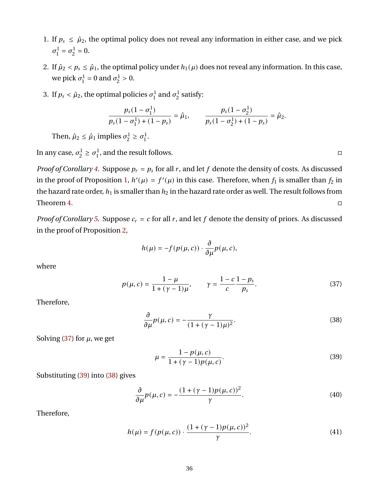- 1. If  $p_s \le \hat{\mu}_2$ , the optimal policy does not reveal any information in either case, and we pick  $\sigma^1$  $\sigma_1^1 = \sigma_2^1$  $\frac{1}{2} = 0.$
- 2. If  $\hat{\mu}_2 < p_s \leq \hat{\mu}_1$ , the optimal policy under  $h_1(\mu)$  does not reveal any information. In this case, we pick  $\sigma_1^1$  $\sigma_1^1 = 0$  and  $\sigma_2^1$  $2^{\frac{1}{2}} > 0.$
- 3. If  $p_s < \hat{\mu}_2$ , the optimal policies  $\sigma_1^1$  $\sigma_1^1$  and  $\sigma_2^1$  $\frac{1}{2}$  satisfy:

$$
\frac{p_s(1-\sigma_1^1)}{p_s(1-\sigma_1^1)+(1-p_s)}=\hat{\mu}_1, \qquad \frac{p_s(1-\sigma_2^1)}{p_s(1-\sigma_2^1)+(1-p_s)}=\hat{\mu}_2.
$$

Then,  $\hat{\mu}_2 \leq \hat{\mu}_1$  implies  $\sigma_2^1$  $\frac{1}{2} \geq \sigma_1^1$ 1 .

In any case,  $\sigma_2^1$  $\frac{1}{2} \geq \sigma_1^1$  $\frac{1}{1}$ , and the result follows.

*Proof of Corollary* [4.](#page-19-1) Suppose  $p_r = p_s$  for all r, and let f denote the density of costs. As discussed in the proof of Proposition [1,](#page-9-4)  $h'(\mu) = f'(\mu)$  in this case. Therefore, when  $f_1$  is smaller than  $f_2$  in the hazard rate order,  $h_1$  is smaller than  $h_2$  in the hazard rate order as well. The result follows from Theorem [4.](#page-19-0)

*Proof of Corollary* [5.](#page-19-2) Suppose  $c_r = c$  for all r, and let f denote the density of priors. As discussed in the proof of Proposition [2,](#page-9-0)

$$
h(\mu) = -f(p(\mu, c)) \cdot \frac{\partial}{\partial \mu} p(\mu, c),
$$

where

$$
p(\mu, c) = \frac{1 - \mu}{1 + (\gamma - 1)\mu}, \qquad \gamma = \frac{1 - c}{c} \frac{1 - p_s}{p_s}.
$$
 (37)

Therefore,

$$
\frac{\partial}{\partial \mu} p(\mu, c) = -\frac{\gamma}{(1 + (\gamma - 1)\mu)^2}.
$$
\n(38)

Solving [\(37\)](#page-36-0) for  $\mu$ , we get

<span id="page-36-3"></span><span id="page-36-1"></span>
$$
\mu = \frac{1 - p(\mu, c)}{1 + (\gamma - 1)p(\mu, c)}.
$$
\n(39)

Substituting [\(39\)](#page-36-1) into [\(38\)](#page-36-2) gives

$$
\frac{\partial}{\partial \mu}p(\mu, c) = -\frac{(1 + (\gamma - 1)p(\mu, c))^2}{\gamma}.
$$
\n(40)

Therefore,

$$
h(\mu) = f(p(\mu, c)) \cdot \frac{(1 + (\gamma - 1)p(\mu, c))^2}{\gamma}.
$$
 (41)

<span id="page-36-2"></span><span id="page-36-0"></span>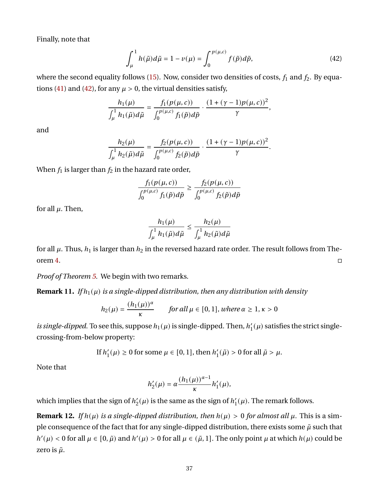Finally, note that

<span id="page-37-0"></span>
$$
\int_{\mu}^{1} h(\tilde{\mu}) d\tilde{\mu} = 1 - \nu(\mu) = \int_{0}^{p(\mu,c)} f(\tilde{p}) d\tilde{p},\tag{42}
$$

where the second equality follows [\(15\)](#page-23-1). Now, consider two densities of costs,  $f_1$  and  $f_2$ . By equa-tions [\(41\)](#page-36-3) and [\(42\)](#page-37-0), for any  $\mu > 0$ , the virtual densities satisfy,

$$
\frac{h_1(\mu)}{\int_{\mu}^1 h_1(\tilde{\mu}) d\tilde{\mu}} = \frac{f_1(p(\mu, c))}{\int_0^{p(\mu, c)} f_1(\tilde{p}) d\tilde{p}} \cdot \frac{(1 + (\gamma - 1)p(\mu, c))^2}{\gamma},
$$

and

$$
\frac{h_2(\mu)}{\int_{\mu}^1 h_2(\tilde{\mu}) d\tilde{\mu}} = \frac{f_2(p(\mu, c))}{\int_0^{p(\mu, c)} f_2(\tilde{p}) d\tilde{p}} \cdot \frac{(1 + (\gamma - 1)p(\mu, c))^2}{\gamma}.
$$

When  $f_1$  is larger than  $f_2$  in the hazard rate order,

$$
\frac{f_1(p(\mu, c))}{\int_0^{p(\mu, c)} f_1(\tilde{p}) d\tilde{p}} \ge \frac{f_2(p(\mu, c))}{\int_0^{p(\mu, c)} f_2(\tilde{p}) d\tilde{p}}
$$

for all  $\mu$ . Then,

$$
\frac{h_1(\mu)}{\int_{\mu}^1 h_1(\tilde{\mu}) d\tilde{\mu}} \le \frac{h_2(\mu)}{\int_{\mu}^1 h_2(\tilde{\mu}) d\tilde{\mu}}
$$

for all  $\mu$ . Thus,  $h_1$  is larger than  $h_2$  in the reversed hazard rate order. The result follows from The-orem [4.](#page-19-0)

*Proof of Theorem [5.](#page-20-2)* We begin with two remarks.

<span id="page-37-1"></span>**Remark 11.** *If*  $h_1(\mu)$  *is a single-dipped distribution, then any distribution with density* 

$$
h_2(\mu) = \frac{(h_1(\mu))^{\alpha}}{\kappa} \quad \text{for all } \mu \in [0, 1], \text{ where } \alpha \ge 1, \kappa > 0
$$

*is single-dipped*. To see this, suppose  $h_1(\mu)$  is single-dipped. Then,  $h'_1$  $I_1'(\mu)$  satisfies the strict singlecrossing-from-below property:

> If  $h'_1$  $\mathcal{L}'_1(\mu) \geq 0$  for some  $\mu \in [0, 1]$ , then  $h'_1$  $l_1'(\tilde{\mu}) > 0$  for all  $\tilde{\mu} > \mu$ .

Note that

$$
h_2'(\mu) = \alpha \frac{(h_1(\mu))^{\alpha-1}}{\kappa} h_1'(\mu),
$$

which implies that the sign of  $h_2$  $2'_{2}(\mu)$  is the same as the sign of  $h_{1}'$  $I_1'(\mu)$ . The remark follows.

<span id="page-37-2"></span>**Remark 12.** *If*  $h(\mu)$  *is a single-dipped distribution, then*  $h(\mu) > 0$  *for almost all*  $\mu$ *.* This is a simple consequence of the fact that for any single-dipped distribution, there exists some  $\tilde{\mu}$  such that  $h'(\mu) < 0$  for all  $\mu \in [0, \tilde{\mu})$  and  $h'(\mu) > 0$  for all  $\mu \in (\tilde{\mu}, 1]$ . The only point  $\mu$  at which  $h(\mu)$  could be zero is  $\tilde{\mu}$ .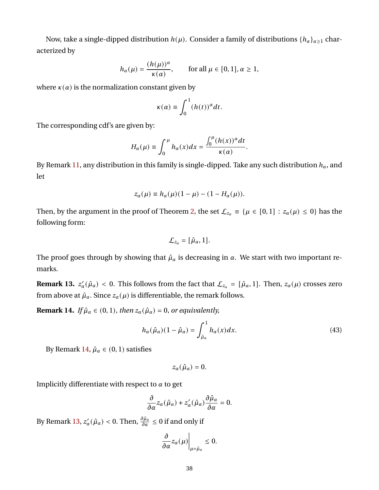Now, take a single-dipped distribution  $h(\mu)$ . Consider a family of distributions  $\{h_{\alpha}\}_{{\alpha \geq 1}}$  characterized by

$$
h_{\alpha}(\mu) = \frac{(h(\mu))^{\alpha}}{\kappa(\alpha)}, \quad \text{for all } \mu \in [0, 1], \alpha \ge 1,
$$

where  $\kappa(\alpha)$  is the normalization constant given by

$$
\kappa(\alpha) \equiv \int_0^1 (h(t))^{\alpha} dt.
$$

The corresponding cdf's are given by:

$$
H_{\alpha}(\mu) \equiv \int_0^{\mu} h_{\alpha}(x) dx = \frac{\int_0^{\mu} (h(x))^{\alpha} dt}{\kappa(\alpha)}.
$$

By Remark [11,](#page-37-1) any distribution in this family is single-dipped. Take any such distribution  $h_{\alpha}$ , and let

$$
z_{\alpha}(\mu) \equiv h_{\alpha}(\mu)(1-\mu) - (1 - H_{\alpha}(\mu)).
$$

Then, by the argument in the proof of Theorem [2,](#page-14-0) the set  $\mathcal{L}_{z_\alpha} \equiv {\mu \in [0,1] : z_\alpha(\mu) \le 0}$  has the following form:

$$
\mathcal{L}_{z_{\alpha}}=[\hat{\mu}_{\alpha},1].
$$

The proof goes through by showing that  $\hat{\mu}_{\alpha}$  is decreasing in  $\alpha$ . We start with two important remarks.

<span id="page-38-1"></span>**Remark 13.**  $z'_\alpha(\hat{\mu}_\alpha) < 0$ . This follows from the fact that  $\mathcal{L}_{z_\alpha} = [\hat{\mu}_\alpha, 1]$ . Then,  $z_\alpha(\mu)$  crosses zero from above at  $\hat{\mu}_\alpha$ . Since  $z_\alpha(\mu)$  is differentiable, the remark follows.

<span id="page-38-0"></span>**Remark 14.** *If*  $\hat{\mu}_{\alpha} \in (0, 1)$ *, then*  $z_{\alpha}(\hat{\mu}_{\alpha}) = 0$ *, or equivalently,* 

$$
h_{\alpha}(\hat{\mu}_{\alpha})(1-\hat{\mu}_{\alpha}) = \int_{\hat{\mu}_{\alpha}}^{1} h_{\alpha}(x)dx.
$$
 (43)

By Remark [14,](#page-38-0)  $\hat{\mu}_{\alpha} \in (0, 1)$  satisfies

<span id="page-38-2"></span> $z_{\alpha}(\hat{\mu}_{\alpha}) = 0.$ 

Implicitly differentiate with respect to  $\alpha$  to get

$$
\frac{\partial}{\partial \alpha} z_{\alpha}(\hat{\mu}_{\alpha}) + z'_{\alpha}(\hat{\mu}_{\alpha}) \frac{\partial \hat{\mu}_{\alpha}}{\partial \alpha} = 0.
$$

By Remark [13,](#page-38-1)  $z_\alpha'(\hat\mu_\alpha)< 0.$  Then,  $\frac{\partial \hat\mu_\alpha}{\partial \alpha}\leq 0$  if and only if

$$
\left.\frac{\partial}{\partial\alpha}z_\alpha(\mu)\right|_{\mu=\hat{\mu}_\alpha}\leq 0.
$$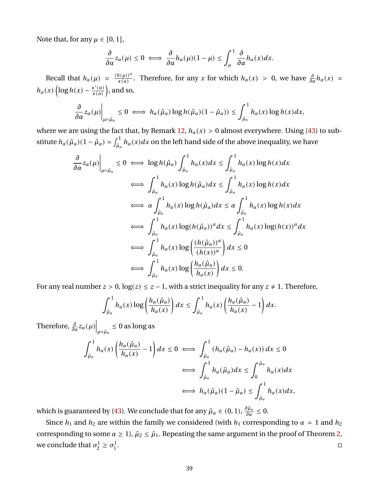Note that, for any  $\mu \in [0, 1]$ ,

$$
\frac{\partial}{\partial \alpha} z_{\alpha}(\mu) \leq 0 \iff \frac{\partial}{\partial \alpha} h_{\alpha}(\mu)(1-\mu) \leq \int_{\mu}^{1} \frac{\partial}{\partial \alpha} h_{\alpha}(x) dx.
$$

Recall that  $h_{\alpha}(\mu) = \frac{(h(\mu))^{\alpha}}{\kappa(\alpha)}$  $\frac{h(\mu x)}{k(\alpha)}$ . Therefore, for any x for which  $h_{\alpha}(x) > 0$ , we have  $\frac{\partial}{\partial \alpha}h_{\alpha}(x) =$  $h_{\alpha}(x) \left( \log h(x) - \frac{\kappa'(a)}{\kappa(a)} \right)$  $\frac{\kappa'(\alpha)}{\kappa(\alpha)}\Big)$ , and so,

$$
\frac{\partial}{\partial \alpha} z_{\alpha}(\mu)\Big|_{\mu=\hat{\mu}_{\alpha}} \leq 0 \iff h_{\alpha}(\hat{\mu}_{\alpha}) \log h(\hat{\mu}_{\alpha})(1-\hat{\mu}_{\alpha})) \leq \int_{\hat{\mu}_{\alpha}}^{1} h_{\alpha}(x) \log h(x) dx,
$$

where we are using the fact that, by Remark [12,](#page-37-2)  $h_{\alpha}(x) > 0$  almost everywhere. Using [\(43\)](#page-38-2) to substitute  $h_\alpha(\hat\mu_\alpha)(1-\hat\mu_\alpha)=\int_{\hat\mu_\alpha}^1h_\alpha(x)dx$  on the left hand side of the above inequality, we have

$$
\frac{\partial}{\partial a} z_{\alpha}(\mu) \Big|_{\mu = \hat{\mu}_{\alpha}} \le 0 \iff \log h(\hat{\mu}_{\alpha}) \int_{\hat{\mu}_{\alpha}}^{1} h_{\alpha}(x) dx \le \int_{\hat{\mu}_{\alpha}}^{1} h_{\alpha}(x) \log h(x) dx
$$
  

$$
\iff \int_{\hat{\mu}_{\alpha}}^{1} h_{\alpha}(x) \log h(\hat{\mu}_{\alpha}) dx \le \int_{\hat{\mu}_{\alpha}}^{1} h_{\alpha}(x) \log h(x) dx
$$
  

$$
\iff \alpha \int_{\hat{\mu}_{\alpha}}^{1} h_{\alpha}(x) \log h(\hat{\mu}_{\alpha}) dx \le \alpha \int_{\hat{\mu}_{\alpha}}^{1} h_{\alpha}(x) \log h(x) dx
$$
  

$$
\iff \int_{\hat{\mu}_{\alpha}}^{1} h_{\alpha}(x) \log(h(\hat{\mu}_{\alpha}))^{\alpha} dx \le \int_{\hat{\mu}_{\alpha}}^{1} h_{\alpha}(x) \log(h(x))^{\alpha} dx
$$
  

$$
\iff \int_{\hat{\mu}_{\alpha}}^{1} h_{\alpha}(x) \log \left(\frac{(h(\hat{\mu}_{\alpha}))^{\alpha}}{(h(x))^{\alpha}}\right) dx \le 0
$$
  

$$
\iff \int_{\hat{\mu}_{\alpha}}^{1} h_{\alpha}(x) \log \left(\frac{h_{\alpha}(\hat{\mu}_{\alpha})}{h_{\alpha}(x)}\right) dx \le 0.
$$

For any real number  $z > 0$ ,  $log(z) \le z - 1$ , with a strict inequality for any  $z \ne 1$ . Therefore,

$$
\int_{\hat{\mu}_\alpha}^1 h_\alpha(x) \log \left( \frac{h_\alpha(\hat{\mu}_\alpha)}{h_\alpha(x)} \right) dx \leq \int_{\hat{\mu}_\alpha}^1 h_\alpha(x) \left( \frac{h_\alpha(\hat{\mu}_\alpha)}{h_\alpha(x)} - 1 \right) dx.
$$

Therefore,  $\frac{\partial}{\partial \alpha} z_{\alpha}(\mu) \Big|_{\mu = \hat{\mu}_{\alpha}} \leq 0$  as long as

$$
\int_{\hat{\mu}_{\alpha}}^{1} h_{\alpha}(x) \left( \frac{h_{\alpha}(\hat{\mu}_{\alpha})}{h_{\alpha}(x)} - 1 \right) dx \le 0 \iff \int_{\hat{\mu}_{\alpha}}^{1} (h_{\alpha}(\hat{\mu}_{\alpha}) - h_{\alpha}(x)) dx \le 0
$$

$$
\iff \int_{\hat{\mu}_{\alpha}}^{1} h_{\alpha}(\hat{\mu}_{\alpha}) dx \le \int_{0}^{\hat{\mu}_{\alpha}} h_{\alpha}(x) dx
$$

$$
\iff h_{\alpha}(\hat{\mu}_{\alpha})(1 - \hat{\mu}_{\alpha}) \le \int_{\hat{\mu}_{\alpha}}^{1} h_{\alpha}(x) dx,
$$

which is guaranteed by [\(43\)](#page-38-2). We conclude that for any  $\hat{\mu}_{\alpha} \in (0,1), \frac{\partial \hat{\mu}_{\alpha}}{\partial \alpha} \leq 0$ .

Since  $h_1$  and  $h_2$  are within the family we considered (with  $h_1$  corresponding to  $\alpha = 1$  and  $h_2$ corresponding to some  $\alpha \geq 1$ ,  $\hat{\mu}_2 \leq \hat{\mu}_1$ . Repeating the same argument in the proof of Theorem [2,](#page-14-0) we conclude that  $\sigma_2^1$  $\frac{1}{2} \geq \sigma_1^1$ 1 .<br>1980 - Paul Barbara, politikar estatubatuar estatubatuar estatubatuar estatubatuar estatubatuar estatubatuar<br>1980 - Paul Barbara, politikar estatubatuar estatubatuar estatubatuar estatubatuar estatubatuar estatubatuar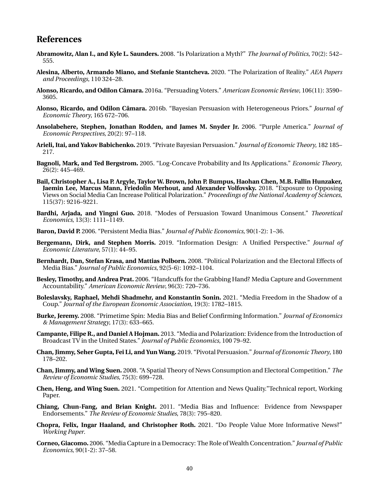## **References**

- <span id="page-40-10"></span>**Abramowitz, Alan I., and Kyle L. Saunders.** 2008. "Is Polarization a Myth?" *The Journal of Politics*, 70(2): 542– 555.
- <span id="page-40-19"></span>**Alesina, Alberto, Armando Miano, and Stefanie Stantcheva.** 2020. "The Polarization of Reality." *AEA Papers and Proceedings*, 110 324–28.
- <span id="page-40-0"></span>**Alonso, Ricardo, and Odilon Câmara.** 2016a. "Persuading Voters." *American Economic Review*, 106(11): 3590– 3605.
- <span id="page-40-4"></span>**Alonso, Ricardo, and Odilon Câmara.** 2016b. "Bayesian Persuasion with Heterogeneous Priors." *Journal of Economic Theory*, 165 672–706.
- <span id="page-40-9"></span>**Ansolabehere, Stephen, Jonathan Rodden, and James M. Snyder Jr.** 2006. "Purple America." *Journal of Economic Perspectives*, 20(2): 97–118.
- <span id="page-40-3"></span>**Arieli, Itai, and Yakov Babichenko.** 2019. "Private Bayesian Persuasion." *Journal of Economic Theory*, 182 185– 217.
- <span id="page-40-18"></span>**Bagnoli, Mark, and Ted Bergstrom.** 2005. "Log-Concave Probability and Its Applications." *Economic Theory*, 26(2): 445–469.
- <span id="page-40-13"></span>**Bail, Christopher A., Lisa P. Argyle, Taylor W. Brown, John P. Bumpus, Haohan Chen, M.B. Fallin Hunzaker, Jaemin Lee, Marcus Mann, Friedolin Merhout, and Alexander Volfovsky.** 2018. "Exposure to Opposing Views on Social Media Can Increase Political Polarization." *Proceedings of the National Academy of Sciences*, 115(37): 9216–9221.
- <span id="page-40-1"></span>**Bardhi, Arjada, and Yingni Guo.** 2018. "Modes of Persuasion Toward Unanimous Consent." *Theoretical Economics*, 13(3): 1111–1149.

<span id="page-40-8"></span>**Baron, David P.** 2006. "Persistent Media Bias." *Journal of Public Economics*, 90(1-2): 1–36.

- <span id="page-40-11"></span>**Bergemann, Dirk, and Stephen Morris.** 2019. "Information Design: A Unified Perspective." *Journal of Economic Literature*, 57(1): 44–95.
- <span id="page-40-5"></span>**Bernhardt, Dan, Stefan Krasa, and Mattias Polborn.** 2008. "Political Polarization and the Electoral Effects of Media Bias." *Journal of Public Economics*, 92(5-6): 1092–1104.
- <span id="page-40-14"></span>**Besley, Timothy, and Andrea Prat.** 2006. "Handcuffs for the Grabbing Hand? Media Capture and Government Accountability." *American Economic Review*, 96(3): 720–736.
- <span id="page-40-16"></span>**Boleslavsky, Raphael, Mehdi Shadmehr, and Konstantin Sonin.** 2021. "Media Freedom in the Shadow of a Coup." *Journal of the European Economic Association*, 19(3): 1782–1815.
- <span id="page-40-6"></span>**Burke, Jeremy.** 2008. "Primetime Spin: Media Bias and Belief Confirming Information." *Journal of Economics & Management Strategy*, 17(3): 633–665.
- <span id="page-40-12"></span>**Campante, Filipe R., and Daniel A Hojman.** 2013. "Media and Polarization: Evidence from the Introduction of Broadcast TV in the United States." *Journal of Public Economics*, 100 79–92.
- <span id="page-40-2"></span>**Chan, Jimmy, Seher Gupta, Fei Li, and Yun Wang.** 2019. "Pivotal Persuasion." *Journal of Economic Theory*, 180 178–202.
- <span id="page-40-7"></span>**Chan, Jimmy, and Wing Suen.** 2008. "A Spatial Theory of News Consumption and Electoral Competition." *The Review of Economic Studies*, 75(3): 699–728.
- <span id="page-40-21"></span>**Chen, Heng, and Wing Suen.** 2021. "Competition for Attention and News Quality."Technical report, Working Paper.
- <span id="page-40-17"></span>**Chiang, Chun-Fang, and Brian Knight.** 2011. "Media Bias and Influence: Evidence from Newspaper Endorsements." *The Review of Economic Studies*, 78(3): 795–820.
- <span id="page-40-20"></span>**Chopra, Felix, Ingar Haaland, and Christopher Roth.** 2021. "Do People Value More Informative News?" *Working Paper*.
- <span id="page-40-15"></span>**Corneo, Giacomo.** 2006. "Media Capture in a Democracy: The Role of Wealth Concentration." *Journal of Public Economics*, 90(1-2): 37–58.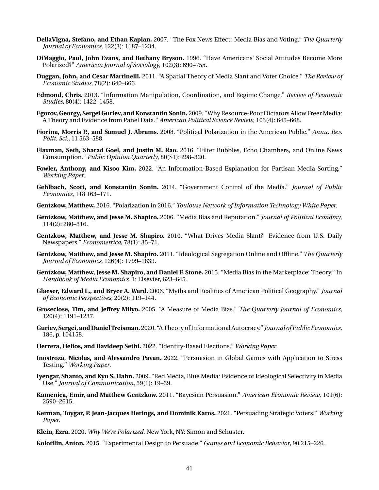- <span id="page-41-1"></span>**DellaVigna, Stefano, and Ethan Kaplan.** 2007. "The Fox News Effect: Media Bias and Voting." *The Quarterly Journal of Economics*, 122(3): 1187–1234.
- <span id="page-41-8"></span>**DiMaggio, Paul, John Evans, and Bethany Bryson.** 1996. "Have Americans' Social Attitudes Become More Polarized?" *American Journal of Sociology*, 102(3): 690–755.
- <span id="page-41-7"></span>**Duggan, John, and Cesar Martinelli.** 2011. "A Spatial Theory of Media Slant and Voter Choice." *The Review of Economic Studies*, 78(2): 640–666.
- <span id="page-41-15"></span>**Edmond, Chris.** 2013. "Information Manipulation, Coordination, and Regime Change." *Review of Economic Studies*, 80(4): 1422–1458.
- <span id="page-41-17"></span>**Egorov, Georgy, Sergei Guriev, and Konstantin Sonin.** 2009. "Why Resource-Poor Dictators Allow Freer Media: A Theory and Evidence from Panel Data." *American Political Science Review*, 103(4): 645–668.
- <span id="page-41-10"></span>**Fiorina, Morris P., and Samuel J. Abrams.** 2008. "Political Polarization in the American Public." *Annu. Rev. Polit. Sci.*, 11 563–588.
- <span id="page-41-14"></span>**Flaxman, Seth, Sharad Goel, and Justin M. Rao.** 2016. "Filter Bubbles, Echo Chambers, and Online News Consumption." *Public Opinion Quarterly*, 80(S1): 298–320.
- <span id="page-41-22"></span>**Fowler, Anthony, and Kisoo Kim.** 2022. "An Information-Based Explanation for Partisan Media Sorting." *Working Paper*.
- <span id="page-41-18"></span>**Gehlbach, Scott, and Konstantin Sonin.** 2014. "Government Control of the Media." *Journal of Public Economics*, 118 163–171.
- <span id="page-41-11"></span>**Gentzkow, Matthew.** 2016. "Polarization in 2016." *Toulouse Network of Information Technology White Paper*.
- <span id="page-41-6"></span>**Gentzkow, Matthew, and Jesse M. Shapiro.** 2006. "Media Bias and Reputation." *Journal of Political Economy*, 114(2): 280–316.
- <span id="page-41-21"></span>**Gentzkow, Matthew, and Jesse M. Shapiro.** 2010. "What Drives Media Slant? Evidence from U.S. Daily Newspapers." *Econometrica*, 78(1): 35–71.
- <span id="page-41-19"></span>**Gentzkow, Matthew, and Jesse M. Shapiro.** 2011. "Ideological Segregation Online and Offline." *The Quarterly Journal of Economics*, 126(4): 1799–1839.
- <span id="page-41-5"></span>**Gentzkow, Matthew, Jesse M. Shapiro, and Daniel F. Stone.** 2015. "Media Bias in the Marketplace: Theory." In *Handbook of Media Economics*. 1: Elsevier, 623–645.
- <span id="page-41-9"></span>**Glaeser, Edward L., and Bryce A. Ward.** 2006. "Myths and Realities of American Political Geography." *Journal of Economic Perspectives*, 20(2): 119–144.
- <span id="page-41-0"></span>**Groseclose, Tim, and Jeffrey Milyo.** 2005. "A Measure of Media Bias." *The Quarterly Journal of Economics*, 120(4): 1191–1237.
- <span id="page-41-16"></span>**Guriev, Sergei, and Daniel Treisman.** 2020. "A Theory of Informational Autocracy." *Journal of Public Economics*, 186, p. 104158.
- <span id="page-41-23"></span>**Herrera, Helios, and Ravideep Sethi.** 2022. "Identity-Based Elections." *Working Paper*.
- <span id="page-41-13"></span>**Inostroza, Nicolas, and Alessandro Pavan.** 2022. "Persuasion in Global Games with Application to Stress Testing." *Working Paper*.
- <span id="page-41-20"></span>**Iyengar, Shanto, and Kyu S. Hahn.** 2009. "Red Media, Blue Media: Evidence of Ideological Selectivity in Media Use." *Journal of Communication*, 59(1): 19–39.
- <span id="page-41-2"></span>**Kamenica, Emir, and Matthew Gentzkow.** 2011. "Bayesian Persuasion." *American Economic Review*, 101(6): 2590–2615.
- <span id="page-41-3"></span>**Kerman, Toygar, P. Jean-Jacques Herings, and Dominik Karos.** 2021. "Persuading Strategic Voters." *Working Paper*.
- <span id="page-41-12"></span>**Klein, Ezra.** 2020. *Why We're Polarized*. New York, NY: Simon and Schuster.

<span id="page-41-4"></span>**Kolotilin, Anton.** 2015. "Experimental Design to Persuade." *Games and Economic Behavior*, 90 215–226.